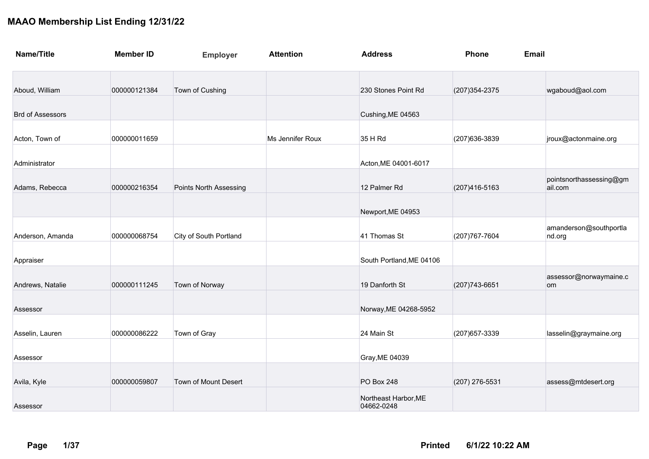| <b>Name/Title</b>       | <b>Member ID</b> | <b>Employer</b>               | <b>Attention</b> | <b>Address</b>                     | Phone          | <b>Email</b>                       |
|-------------------------|------------------|-------------------------------|------------------|------------------------------------|----------------|------------------------------------|
| Aboud, William          | 000000121384     | Town of Cushing               |                  | 230 Stones Point Rd                | (207) 354-2375 | wgaboud@aol.com                    |
| <b>Brd of Assessors</b> |                  |                               |                  | Cushing, ME 04563                  |                |                                    |
| Acton, Town of          | 000000011659     |                               | Ms Jennifer Roux | 35 H Rd                            | (207) 636-3839 | jroux@actonmaine.org               |
| Administrator           |                  |                               |                  | Acton, ME 04001-6017               |                |                                    |
| Adams, Rebecca          | 000000216354     | <b>Points North Assessing</b> |                  | 12 Palmer Rd                       | (207) 416-5163 | pointsnorthassessing@gm<br>ail.com |
|                         |                  |                               |                  | Newport, ME 04953                  |                |                                    |
| Anderson, Amanda        | 000000068754     | City of South Portland        |                  | 41 Thomas St                       | (207) 767-7604 | amanderson@southportla<br>nd.org   |
| Appraiser               |                  |                               |                  | South Portland, ME 04106           |                |                                    |
| Andrews, Natalie        | 000000111245     | Town of Norway                |                  | 19 Danforth St                     | (207) 743-6651 | assessor@norwaymaine.c<br>om       |
| Assessor                |                  |                               |                  | Norway, ME 04268-5952              |                |                                    |
| Asselin, Lauren         | 000000086222     | Town of Gray                  |                  | 24 Main St                         | (207) 657-3339 | lasselin@graymaine.org             |
| Assessor                |                  |                               |                  | Gray, ME 04039                     |                |                                    |
| Avila, Kyle             | 000000059807     | Town of Mount Desert          |                  | <b>PO Box 248</b>                  | (207) 276-5531 | assess@mtdesert.org                |
| Assessor                |                  |                               |                  | Northeast Harbor, ME<br>04662-0248 |                |                                    |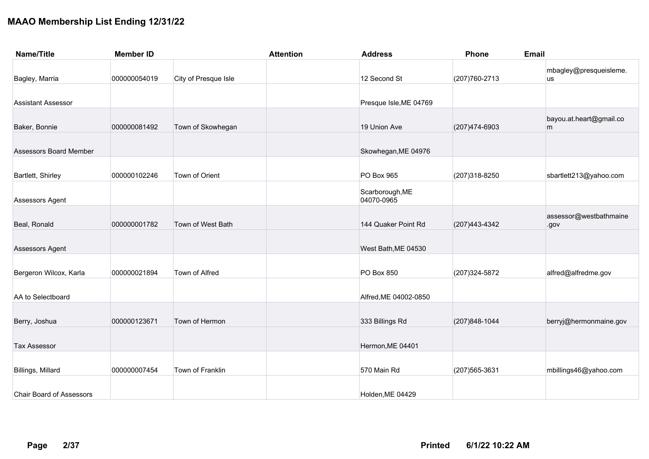| <b>Name/Title</b>               | <b>Member ID</b> |                      | <b>Attention</b> | <b>Address</b>                | Phone          | <b>Email</b>                   |
|---------------------------------|------------------|----------------------|------------------|-------------------------------|----------------|--------------------------------|
| Bagley, Marria                  | 000000054019     | City of Presque Isle |                  | 12 Second St                  | (207) 760-2713 | mbagley@presqueisleme.<br>us   |
| <b>Assistant Assessor</b>       |                  |                      |                  | Presque Isle, ME 04769        |                |                                |
| Baker, Bonnie                   | 000000081492     | Town of Skowhegan    |                  | 19 Union Ave                  | (207) 474-6903 | bayou.at.heart@gmail.co<br>m   |
| <b>Assessors Board Member</b>   |                  |                      |                  | Skowhegan, ME 04976           |                |                                |
| Bartlett, Shirley               | 000000102246     | Town of Orient       |                  | <b>PO Box 965</b>             | (207) 318-8250 | sbartlett213@yahoo.com         |
| Assessors Agent                 |                  |                      |                  | Scarborough, ME<br>04070-0965 |                |                                |
| Beal, Ronald                    | 000000001782     | Town of West Bath    |                  | 144 Quaker Point Rd           | (207) 443-4342 | assessor@westbathmaine<br>.gov |
| Assessors Agent                 |                  |                      |                  | West Bath, ME 04530           |                |                                |
| Bergeron Wilcox, Karla          | 000000021894     | Town of Alfred       |                  | PO Box 850                    | (207) 324-5872 | alfred@alfredme.gov            |
| AA to Selectboard               |                  |                      |                  | Alfred, ME 04002-0850         |                |                                |
| Berry, Joshua                   | 000000123671     | Town of Hermon       |                  | 333 Billings Rd               | (207) 848-1044 | berryj@hermonmaine.gov         |
| <b>Tax Assessor</b>             |                  |                      |                  | Hermon, ME 04401              |                |                                |
| Billings, Millard               | 000000007454     | Town of Franklin     |                  | 570 Main Rd                   | (207) 565-3631 | mbillings46@yahoo.com          |
| <b>Chair Board of Assessors</b> |                  |                      |                  | Holden, ME 04429              |                |                                |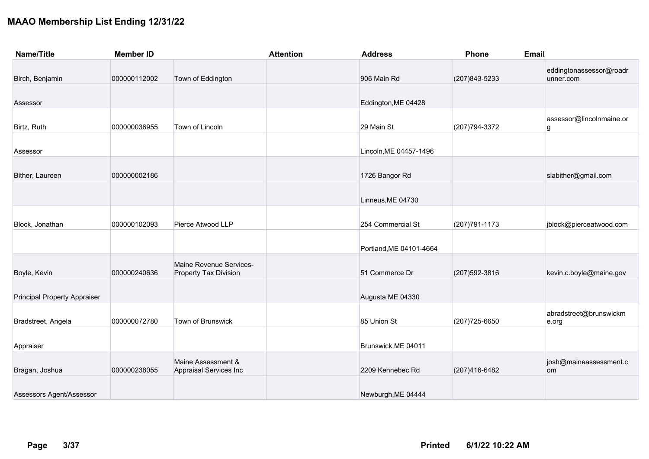| <b>Name/Title</b>                   | <b>Member ID</b> |                                                         | <b>Attention</b> | <b>Address</b>          | Phone          | Email                                |
|-------------------------------------|------------------|---------------------------------------------------------|------------------|-------------------------|----------------|--------------------------------------|
| Birch, Benjamin                     | 000000112002     | Town of Eddington                                       |                  | 906 Main Rd             | (207) 843-5233 | eddingtonassessor@roadr<br>unner.com |
| Assessor                            |                  |                                                         |                  | Eddington, ME 04428     |                |                                      |
| Birtz, Ruth                         | 000000036955     | Town of Lincoln                                         |                  | 29 Main St              | (207) 794-3372 | assessor@lincolnmaine.or<br>g        |
| Assessor                            |                  |                                                         |                  | Lincoln, ME 04457-1496  |                |                                      |
| Bither, Laureen                     | 000000002186     |                                                         |                  | 1726 Bangor Rd          |                | slabither@gmail.com                  |
|                                     |                  |                                                         |                  | Linneus, ME 04730       |                |                                      |
| Block, Jonathan                     | 000000102093     | Pierce Atwood LLP                                       |                  | 254 Commercial St       | (207) 791-1173 | jblock@pierceatwood.com              |
|                                     |                  |                                                         |                  | Portland, ME 04101-4664 |                |                                      |
| Boyle, Kevin                        | 000000240636     | Maine Revenue Services-<br><b>Property Tax Division</b> |                  | 51 Commerce Dr          | (207) 592-3816 | kevin.c.boyle@maine.gov              |
| <b>Principal Property Appraiser</b> |                  |                                                         |                  | Augusta, ME 04330       |                |                                      |
| Bradstreet, Angela                  | 000000072780     | Town of Brunswick                                       |                  | 85 Union St             | (207) 725-6650 | abradstreet@brunswickm<br>e.org      |
| Appraiser                           |                  |                                                         |                  | Brunswick, ME 04011     |                |                                      |
| Bragan, Joshua                      | 000000238055     | Maine Assessment &<br>Appraisal Services Inc            |                  | 2209 Kennebec Rd        | (207)416-6482  | josh@maineassessment.c<br>om         |
| Assessors Agent/Assessor            |                  |                                                         |                  | Newburgh, ME 04444      |                |                                      |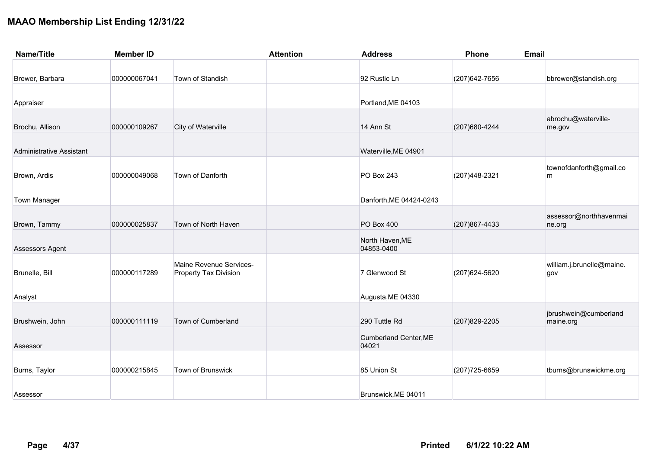| <b>Name/Title</b>               | <b>Member ID</b> |                                                         | <b>Attention</b> | <b>Address</b>                        | Phone          | <b>Email</b>                       |
|---------------------------------|------------------|---------------------------------------------------------|------------------|---------------------------------------|----------------|------------------------------------|
|                                 |                  |                                                         |                  |                                       |                |                                    |
| Brewer, Barbara                 | 000000067041     | Town of Standish                                        |                  | 92 Rustic Ln                          | (207) 642-7656 | bbrewer@standish.org               |
|                                 |                  |                                                         |                  |                                       |                |                                    |
| Appraiser                       |                  |                                                         |                  | Portland, ME 04103                    |                |                                    |
| Brochu, Allison                 | 000000109267     | City of Waterville                                      |                  | 14 Ann St                             | (207) 680-4244 | abrochu@waterville-<br>me.gov      |
| <b>Administrative Assistant</b> |                  |                                                         |                  | Waterville, ME 04901                  |                |                                    |
| Brown, Ardis                    | 000000049068     | Town of Danforth                                        |                  | <b>PO Box 243</b>                     | (207)448-2321  | townofdanforth@gmail.co<br>m       |
| <b>Town Manager</b>             |                  |                                                         |                  | Danforth, ME 04424-0243               |                |                                    |
| Brown, Tammy                    | 000000025837     | Town of North Haven                                     |                  | <b>PO Box 400</b>                     | (207) 867-4433 | assessor@northhavenmai<br>ne.org   |
| Assessors Agent                 |                  |                                                         |                  | North Haven, ME<br>04853-0400         |                |                                    |
| Brunelle, Bill                  | 000000117289     | Maine Revenue Services-<br><b>Property Tax Division</b> |                  | 7 Glenwood St                         | (207) 624-5620 | william.j.brunelle@maine.<br>gov   |
| Analyst                         |                  |                                                         |                  | Augusta, ME 04330                     |                |                                    |
| Brushwein, John                 | 000000111119     | Town of Cumberland                                      |                  | 290 Tuttle Rd                         | (207) 829-2205 | jbrushwein@cumberland<br>maine.org |
| Assessor                        |                  |                                                         |                  | <b>Cumberland Center, ME</b><br>04021 |                |                                    |
| Burns, Taylor                   | 000000215845     | Town of Brunswick                                       |                  | 85 Union St                           | (207) 725-6659 | tburns@brunswickme.org             |
| Assessor                        |                  |                                                         |                  | Brunswick, ME 04011                   |                |                                    |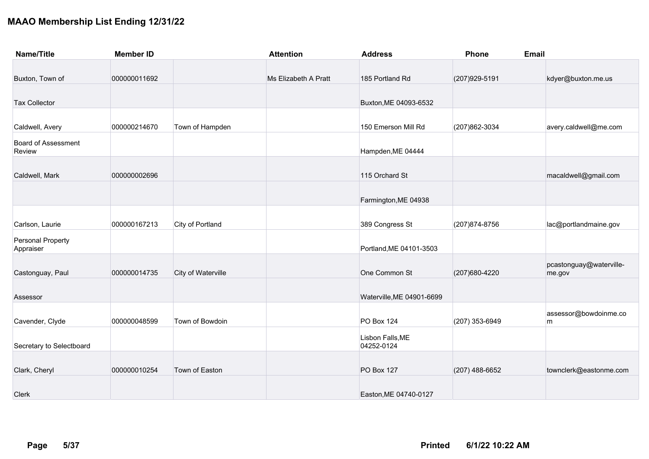| <b>Name/Title</b>                    | <b>Member ID</b> |                    | <b>Attention</b>     | <b>Address</b>                 | <b>Phone</b>     | Email                             |
|--------------------------------------|------------------|--------------------|----------------------|--------------------------------|------------------|-----------------------------------|
|                                      |                  |                    |                      |                                |                  |                                   |
| Buxton, Town of                      | 000000011692     |                    | Ms Elizabeth A Pratt | 185 Portland Rd                | (207) 929-5191   | kdyer@buxton.me.us                |
| <b>Tax Collector</b>                 |                  |                    |                      | Buxton, ME 04093-6532          |                  |                                   |
| Caldwell, Avery                      | 000000214670     | Town of Hampden    |                      | 150 Emerson Mill Rd            | (207) 862-3034   | avery.caldwell@me.com             |
| <b>Board of Assessment</b><br>Review |                  |                    |                      | Hampden, ME 04444              |                  |                                   |
| Caldwell, Mark                       | 000000002696     |                    |                      | 115 Orchard St                 |                  | macaldwell@gmail.com              |
|                                      |                  |                    |                      | Farmington, ME 04938           |                  |                                   |
| Carlson, Laurie                      | 000000167213     | City of Portland   |                      | 389 Congress St                | (207) 874-8756   | lac@portlandmaine.gov             |
| Personal Property<br>Appraiser       |                  |                    |                      | Portland, ME 04101-3503        |                  |                                   |
| Castonguay, Paul                     | 000000014735     | City of Waterville |                      | One Common St                  | (207) 680-4220   | pcastonguay@waterville-<br>me.gov |
| Assessor                             |                  |                    |                      | Waterville, ME 04901-6699      |                  |                                   |
| Cavender, Clyde                      | 000000048599     | Town of Bowdoin    |                      | <b>PO Box 124</b>              | (207) 353-6949   | assessor@bowdoinme.co<br>m        |
| Secretary to Selectboard             |                  |                    |                      | Lisbon Falls, ME<br>04252-0124 |                  |                                   |
| Clark, Cheryl                        | 000000010254     | Town of Easton     |                      | <b>PO Box 127</b>              | $(207)$ 488-6652 | townclerk@eastonme.com            |
| Clerk                                |                  |                    |                      | Easton, ME 04740-0127          |                  |                                   |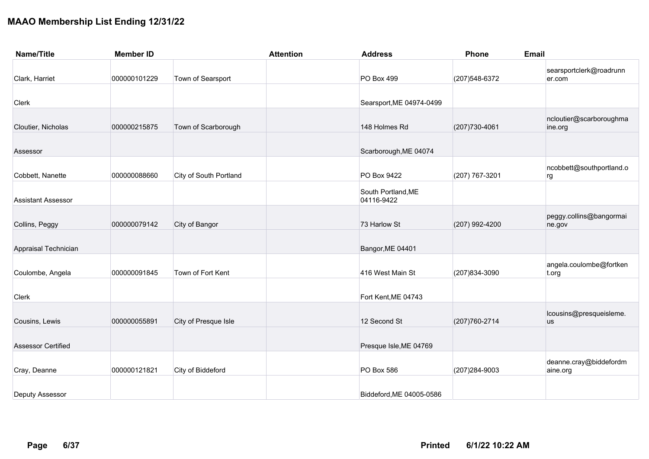| <b>Name/Title</b>         | <b>Member ID</b> |                               | <b>Attention</b> | <b>Address</b>                   | Phone          | <b>Email</b>                         |
|---------------------------|------------------|-------------------------------|------------------|----------------------------------|----------------|--------------------------------------|
| Clark, Harriet            | 000000101229     | Town of Searsport             |                  | PO Box 499                       | (207) 548-6372 | searsportclerk@roadrunn<br>er.com    |
| Clerk                     |                  |                               |                  | Searsport, ME 04974-0499         |                |                                      |
| Cloutier, Nicholas        | 000000215875     | Town of Scarborough           |                  | 148 Holmes Rd                    | (207) 730-4061 | ncloutier@scarboroughma<br>ine.org   |
| Assessor                  |                  |                               |                  | Scarborough, ME 04074            |                |                                      |
| Cobbett, Nanette          | 000000088660     | <b>City of South Portland</b> |                  | PO Box 9422                      | (207) 767-3201 | ncobbett@southportland.o<br>rg       |
| <b>Assistant Assessor</b> |                  |                               |                  | South Portland, ME<br>04116-9422 |                |                                      |
| Collins, Peggy            | 000000079142     | City of Bangor                |                  | 73 Harlow St                     | (207) 992-4200 | peggy.collins@bangormai<br>ne.gov    |
| Appraisal Technician      |                  |                               |                  | Bangor, ME 04401                 |                |                                      |
| Coulombe, Angela          | 000000091845     | Town of Fort Kent             |                  | 416 West Main St                 | (207) 834-3090 | angela.coulombe@fortken<br>t.org     |
| Clerk                     |                  |                               |                  | Fort Kent, ME 04743              |                |                                      |
| Cousins, Lewis            | 000000055891     | City of Presque Isle          |                  | 12 Second St                     | (207) 760-2714 | lcousins@presqueisleme.<br><b>us</b> |
| <b>Assessor Certified</b> |                  |                               |                  | Presque Isle, ME 04769           |                |                                      |
| Cray, Deanne              | 000000121821     | City of Biddeford             |                  | PO Box 586                       | (207) 284-9003 | deanne.cray@biddefordm<br>aine.org   |
| <b>Deputy Assessor</b>    |                  |                               |                  | Biddeford, ME 04005-0586         |                |                                      |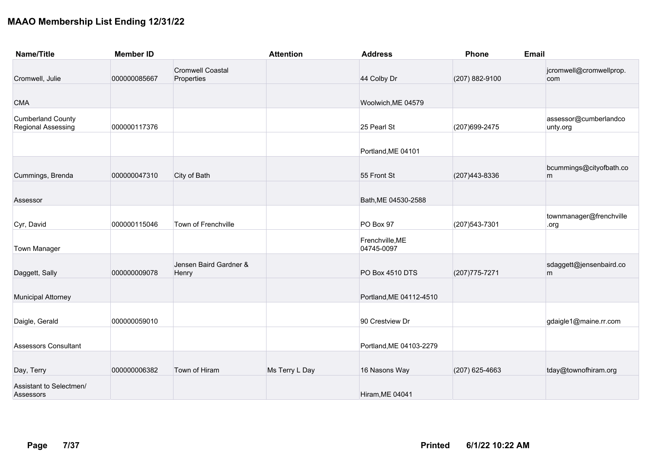| <b>Name/Title</b>                              | <b>Member ID</b> |                                       | <b>Attention</b> | <b>Address</b>                | Phone            | <b>Email</b>                      |  |
|------------------------------------------------|------------------|---------------------------------------|------------------|-------------------------------|------------------|-----------------------------------|--|
| Cromwell, Julie                                | 000000085667     | <b>Cromwell Coastal</b><br>Properties |                  | 44 Colby Dr                   | (207) 882-9100   | jcromwell@cromwellprop.<br>com    |  |
| <b>CMA</b>                                     |                  |                                       |                  | Woolwich, ME 04579            |                  |                                   |  |
| <b>Cumberland County</b><br>Regional Assessing | 000000117376     |                                       |                  | 25 Pearl St                   | (207) 699-2475   | assessor@cumberlandco<br>unty.org |  |
|                                                |                  |                                       |                  | Portland, ME 04101            |                  |                                   |  |
| Cummings, Brenda                               | 000000047310     | City of Bath                          |                  | 55 Front St                   | (207) 443-8336   | bcummings@cityofbath.co<br>m      |  |
| Assessor                                       |                  |                                       |                  | Bath, ME 04530-2588           |                  |                                   |  |
| Cyr, David                                     | 000000115046     | Town of Frenchville                   |                  | PO Box 97                     | (207) 543-7301   | townmanager@frenchville<br>.org   |  |
| <b>Town Manager</b>                            |                  |                                       |                  | Frenchville, ME<br>04745-0097 |                  |                                   |  |
| Daggett, Sally                                 | 000000009078     | Jensen Baird Gardner &<br>Henry       |                  | PO Box 4510 DTS               | (207) 775-7271   | sdaggett@jensenbaird.co<br>m      |  |
| <b>Municipal Attorney</b>                      |                  |                                       |                  | Portland, ME 04112-4510       |                  |                                   |  |
| Daigle, Gerald                                 | 000000059010     |                                       |                  | 90 Crestview Dr               |                  | gdaigle1@maine.rr.com             |  |
| <b>Assessors Consultant</b>                    |                  |                                       |                  | Portland, ME 04103-2279       |                  |                                   |  |
| Day, Terry                                     | 000000006382     | Town of Hiram                         | Ms Terry L Day   | 16 Nasons Way                 | $(207)$ 625-4663 | tday@townofhiram.org              |  |
| Assistant to Selectmen/<br>Assessors           |                  |                                       |                  | Hiram, ME 04041               |                  |                                   |  |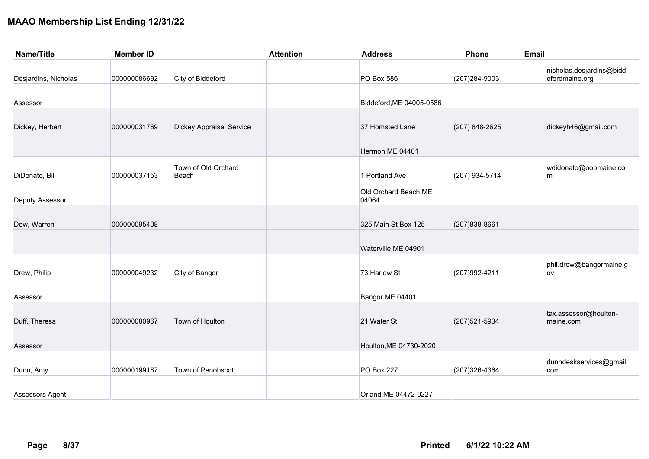| <b>Name/Title</b>    | <b>Member ID</b> |                                 | <b>Attention</b> | <b>Address</b>                 | Phone          | <b>Email</b>                               |
|----------------------|------------------|---------------------------------|------------------|--------------------------------|----------------|--------------------------------------------|
| Desjardins, Nicholas | 000000086692     | City of Biddeford               |                  | PO Box 586                     | (207) 284-9003 | nicholas.desjardins@bidd<br>efordmaine.org |
| Assessor             |                  |                                 |                  | Biddeford, ME 04005-0586       |                |                                            |
| Dickey, Herbert      | 000000031769     | <b>Dickey Appraisal Service</b> |                  | 37 Homsted Lane                | (207) 848-2625 | dickeyh46@gmail.com                        |
|                      |                  |                                 |                  | Hermon, ME 04401               |                |                                            |
| DiDonato, Bill       | 000000037153     | Town of Old Orchard<br>Beach    |                  | 1 Portland Ave                 | (207) 934-5714 | wdidonato@oobmaine.co<br>m                 |
| Deputy Assessor      |                  |                                 |                  | Old Orchard Beach, ME<br>04064 |                |                                            |
| Dow, Warren          | 000000095408     |                                 |                  | 325 Main St Box 125            | (207) 838-8661 |                                            |
|                      |                  |                                 |                  | Waterville, ME 04901           |                |                                            |
| Drew, Philip         | 000000049232     | City of Bangor                  |                  | 73 Harlow St                   | (207) 992-4211 | phil.drew@bangormaine.g<br>ov              |
| Assessor             |                  |                                 |                  | Bangor, ME 04401               |                |                                            |
| Duff, Theresa        | 000000080967     | Town of Houlton                 |                  | 21 Water St                    | (207) 521-5934 | tax.assessor@houlton-<br>maine.com         |
| Assessor             |                  |                                 |                  | Houlton, ME 04730-2020         |                |                                            |
| Dunn, Amy            | 000000199187     | Town of Penobscot               |                  | <b>PO Box 227</b>              | (207) 326-4364 | dunndeskservices@gmail.<br>com             |
| Assessors Agent      |                  |                                 |                  | Orland, ME 04472-0227          |                |                                            |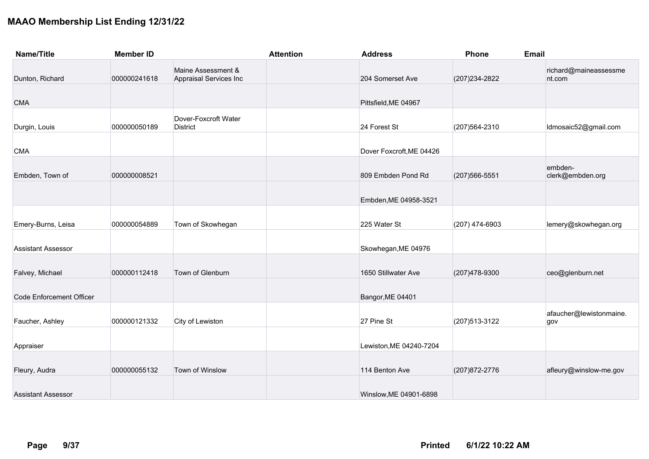| <b>Name/Title</b>               | <b>Member ID</b> |                                              | <b>Attention</b> | <b>Address</b>           | Phone          | Email                           |
|---------------------------------|------------------|----------------------------------------------|------------------|--------------------------|----------------|---------------------------------|
| Dunton, Richard                 | 000000241618     | Maine Assessment &<br>Appraisal Services Inc |                  | 204 Somerset Ave         | (207) 234-2822 | richard@maineassessme<br>nt.com |
| <b>CMA</b>                      |                  |                                              |                  | Pittsfield, ME 04967     |                |                                 |
| Durgin, Louis                   | 000000050189     | Dover-Foxcroft Water<br><b>District</b>      |                  | 24 Forest St             | (207) 564-2310 | Idmosaic52@gmail.com            |
| <b>CMA</b>                      |                  |                                              |                  | Dover Foxcroft, ME 04426 |                |                                 |
| Embden, Town of                 | 000000008521     |                                              |                  | 809 Embden Pond Rd       | (207) 566-5551 | embden-<br>clerk@embden.org     |
|                                 |                  |                                              |                  | Embden, ME 04958-3521    |                |                                 |
| Emery-Burns, Leisa              | 000000054889     | Town of Skowhegan                            |                  | 225 Water St             | (207) 474-6903 | lemery@skowhegan.org            |
| <b>Assistant Assessor</b>       |                  |                                              |                  | Skowhegan, ME 04976      |                |                                 |
| Falvey, Michael                 | 000000112418     | Town of Glenburn                             |                  | 1650 Stillwater Ave      | (207) 478-9300 | ceo@glenburn.net                |
| <b>Code Enforcement Officer</b> |                  |                                              |                  | Bangor, ME 04401         |                |                                 |
| Faucher, Ashley                 | 000000121332     | City of Lewiston                             |                  | 27 Pine St               | (207) 513-3122 | afaucher@lewistonmaine.<br>gov  |
| Appraiser                       |                  |                                              |                  | Lewiston, ME 04240-7204  |                |                                 |
| Fleury, Audra                   | 000000055132     | Town of Winslow                              |                  | 114 Benton Ave           | (207) 872-2776 | afleury@winslow-me.gov          |
| <b>Assistant Assessor</b>       |                  |                                              |                  | Winslow, ME 04901-6898   |                |                                 |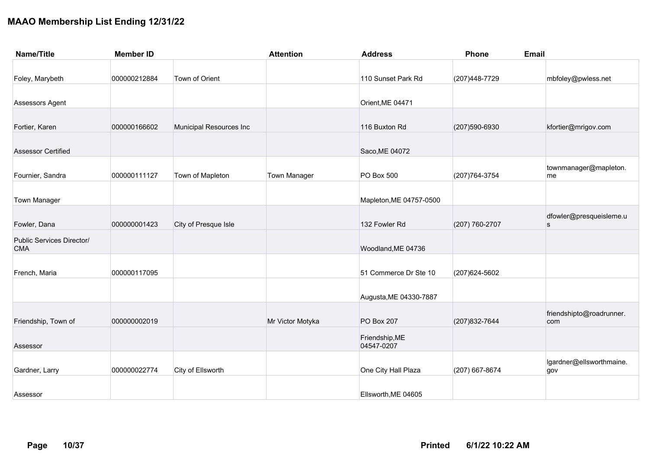| <b>Name/Title</b>                       | <b>Member ID</b> |                         | <b>Attention</b>    | <b>Address</b>               | Phone          | <b>Email</b>                    |
|-----------------------------------------|------------------|-------------------------|---------------------|------------------------------|----------------|---------------------------------|
|                                         |                  |                         |                     |                              |                |                                 |
| Foley, Marybeth                         | 000000212884     | Town of Orient          |                     | 110 Sunset Park Rd           | (207) 448-7729 | mbfoley@pwless.net              |
| Assessors Agent                         |                  |                         |                     | Orient, ME 04471             |                |                                 |
| Fortier, Karen                          | 000000166602     | Municipal Resources Inc |                     | 116 Buxton Rd                | (207) 590-6930 | kfortier@mrigov.com             |
| <b>Assessor Certified</b>               |                  |                         |                     | Saco, ME 04072               |                |                                 |
| Fournier, Sandra                        | 000000111127     | Town of Mapleton        | <b>Town Manager</b> | PO Box 500                   | (207) 764-3754 | townmanager@mapleton.<br>me     |
| <b>Town Manager</b>                     |                  |                         |                     | Mapleton, ME 04757-0500      |                |                                 |
| Fowler, Dana                            | 000000001423     | City of Presque Isle    |                     | 132 Fowler Rd                | (207) 760-2707 | dfowler@presqueisleme.u<br>s    |
| Public Services Director/<br><b>CMA</b> |                  |                         |                     | Woodland, ME 04736           |                |                                 |
| French, Maria                           | 000000117095     |                         |                     | 51 Commerce Dr Ste 10        | (207) 624-5602 |                                 |
|                                         |                  |                         |                     | Augusta, ME 04330-7887       |                |                                 |
| Friendship, Town of                     | 000000002019     |                         | Mr Victor Motyka    | PO Box 207                   | (207) 832-7644 | friendshipto@roadrunner.<br>com |
| Assessor                                |                  |                         |                     | Friendship, ME<br>04547-0207 |                |                                 |
| Gardner, Larry                          | 000000022774     | City of Ellsworth       |                     | One City Hall Plaza          | (207) 667-8674 | lgardner@ellsworthmaine.<br>gov |
| Assessor                                |                  |                         |                     | Ellsworth, ME 04605          |                |                                 |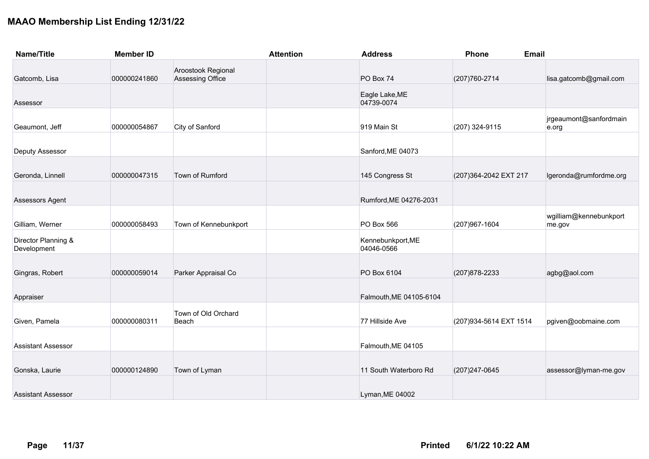| <b>Name/Title</b>                  | <b>Member ID</b> |                                        | <b>Attention</b> | <b>Address</b>                  | Phone                   | <b>Email</b>                     |
|------------------------------------|------------------|----------------------------------------|------------------|---------------------------------|-------------------------|----------------------------------|
| Gatcomb, Lisa                      | 000000241860     | Aroostook Regional<br>Assessing Office |                  | PO Box 74                       | (207) 760-2714          | lisa.gatcomb@gmail.com           |
| Assessor                           |                  |                                        |                  | Eagle Lake, ME<br>04739-0074    |                         |                                  |
| Geaumont, Jeff                     | 000000054867     | City of Sanford                        |                  | 919 Main St                     | (207) 324-9115          | jrgeaumont@sanfordmain<br>e.org  |
| Deputy Assessor                    |                  |                                        |                  | Sanford, ME 04073               |                         |                                  |
| Geronda, Linnell                   | 000000047315     | Town of Rumford                        |                  | 145 Congress St                 | (207) 364-2042 EXT 217  | lgeronda@rumfordme.org           |
| Assessors Agent                    |                  |                                        |                  | Rumford, ME 04276-2031          |                         |                                  |
| Gilliam, Werner                    | 000000058493     | Town of Kennebunkport                  |                  | PO Box 566                      | (207) 967-1604          | wgilliam@kennebunkport<br>me.gov |
| Director Planning &<br>Development |                  |                                        |                  | Kennebunkport, ME<br>04046-0566 |                         |                                  |
| Gingras, Robert                    | 000000059014     | Parker Appraisal Co                    |                  | PO Box 6104                     | (207) 878-2233          | agbg@aol.com                     |
| Appraiser                          |                  |                                        |                  | Falmouth, ME 04105-6104         |                         |                                  |
| Given, Pamela                      | 000000080311     | Town of Old Orchard<br>Beach           |                  | 77 Hillside Ave                 | (207) 934-5614 EXT 1514 | pgiven@oobmaine.com              |
| <b>Assistant Assessor</b>          |                  |                                        |                  | Falmouth, ME 04105              |                         |                                  |
| Gonska, Laurie                     | 000000124890     | Town of Lyman                          |                  | 11 South Waterboro Rd           | (207) 247-0645          | assessor@lyman-me.gov            |
| <b>Assistant Assessor</b>          |                  |                                        |                  | Lyman, ME 04002                 |                         |                                  |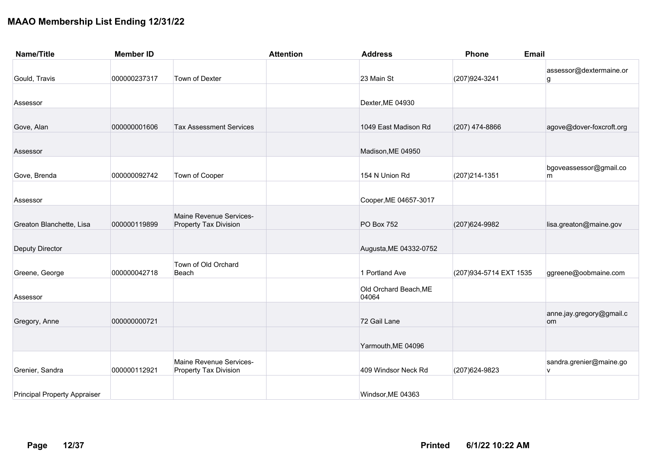| <b>Name/Title</b>                   | <b>Member ID</b> |                                                         | <b>Attention</b> | <b>Address</b>                 | Phone<br><b>Email</b>   |                                |
|-------------------------------------|------------------|---------------------------------------------------------|------------------|--------------------------------|-------------------------|--------------------------------|
| Gould, Travis                       | 000000237317     | Town of Dexter                                          |                  | 23 Main St                     | (207) 924-3241          | assessor@dextermaine.or<br>g   |
| Assessor                            |                  |                                                         |                  | Dexter, ME 04930               |                         |                                |
| Gove, Alan                          | 000000001606     | <b>Tax Assessment Services</b>                          |                  | 1049 East Madison Rd           | $(207)$ 474-8866        | agove@dover-foxcroft.org       |
| Assessor                            |                  |                                                         |                  | Madison, ME 04950              |                         |                                |
| Gove, Brenda                        | 000000092742     | Town of Cooper                                          |                  | 154 N Union Rd                 | (207) 214-1351          | bgoveassessor@gmail.co<br>m    |
| Assessor                            |                  |                                                         |                  | Cooper, ME 04657-3017          |                         |                                |
| Greaton Blanchette, Lisa            | 000000119899     | Maine Revenue Services-<br><b>Property Tax Division</b> |                  | <b>PO Box 752</b>              | (207) 624-9982          | lisa.greaton@maine.gov         |
| <b>Deputy Director</b>              |                  |                                                         |                  | Augusta, ME 04332-0752         |                         |                                |
| Greene, George                      | 000000042718     | Town of Old Orchard<br>Beach                            |                  | 1 Portland Ave                 | (207) 934-5714 EXT 1535 | ggreene@oobmaine.com           |
| Assessor                            |                  |                                                         |                  | Old Orchard Beach, ME<br>04064 |                         |                                |
| Gregory, Anne                       | 000000000721     |                                                         |                  | 72 Gail Lane                   |                         | anne.jay.gregory@gmail.c<br>om |
|                                     |                  |                                                         |                  | Yarmouth, ME 04096             |                         |                                |
| Grenier, Sandra                     | 000000112921     | Maine Revenue Services-<br><b>Property Tax Division</b> |                  | 409 Windsor Neck Rd            | (207) 624-9823          | sandra.grenier@maine.go<br>V   |
| <b>Principal Property Appraiser</b> |                  |                                                         |                  | Windsor, ME 04363              |                         |                                |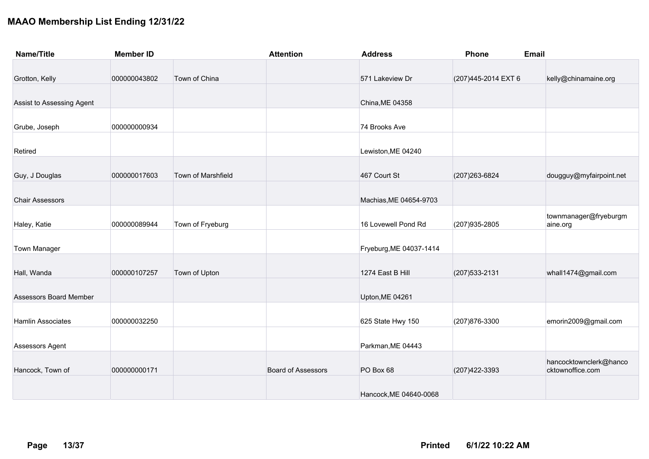| <b>Name/Title</b>         | <b>Member ID</b> |                    | <b>Attention</b>          | <b>Address</b>          | <b>Phone</b>         | Email                                      |
|---------------------------|------------------|--------------------|---------------------------|-------------------------|----------------------|--------------------------------------------|
|                           |                  |                    |                           |                         |                      |                                            |
| Grotton, Kelly            | 000000043802     | Town of China      |                           | 571 Lakeview Dr         | (207) 445-2014 EXT 6 | kelly@chinamaine.org                       |
| Assist to Assessing Agent |                  |                    |                           | China, ME 04358         |                      |                                            |
| Grube, Joseph             | 000000000934     |                    |                           | 74 Brooks Ave           |                      |                                            |
| Retired                   |                  |                    |                           | Lewiston, ME 04240      |                      |                                            |
| Guy, J Douglas            | 000000017603     | Town of Marshfield |                           | 467 Court St            | (207) 263-6824       | dougguy@myfairpoint.net                    |
| <b>Chair Assessors</b>    |                  |                    |                           | Machias, ME 04654-9703  |                      |                                            |
| Haley, Katie              | 000000089944     | Town of Fryeburg   |                           | 16 Lovewell Pond Rd     | (207) 935-2805       | townmanager@fryeburgm<br>aine.org          |
| <b>Town Manager</b>       |                  |                    |                           | Fryeburg, ME 04037-1414 |                      |                                            |
| Hall, Wanda               | 000000107257     | Town of Upton      |                           | 1274 East B Hill        | (207) 533-2131       | whall1474@gmail.com                        |
| Assessors Board Member    |                  |                    |                           | Upton, ME 04261         |                      |                                            |
| Hamlin Associates         | 000000032250     |                    |                           | 625 State Hwy 150       | (207) 876-3300       | emorin2009@gmail.com                       |
| Assessors Agent           |                  |                    |                           | Parkman, ME 04443       |                      |                                            |
| Hancock, Town of          | 000000000171     |                    | <b>Board of Assessors</b> | PO Box 68               | (207) 422-3393       | hancocktownclerk@hanco<br>cktownoffice.com |
|                           |                  |                    |                           | Hancock, ME 04640-0068  |                      |                                            |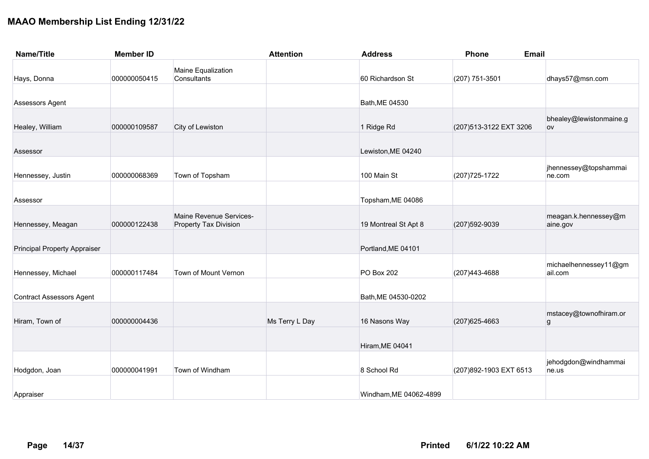| <b>Name/Title</b>                   | <b>Member ID</b> |                                                         | <b>Attention</b> | <b>Address</b>         | Phone<br><b>Email</b>   |                                  |
|-------------------------------------|------------------|---------------------------------------------------------|------------------|------------------------|-------------------------|----------------------------------|
| Hays, Donna                         | 000000050415     | Maine Equalization<br>Consultants                       |                  | 60 Richardson St       | (207) 751-3501          | dhays57@msn.com                  |
| Assessors Agent                     |                  |                                                         |                  | Bath, ME 04530         |                         |                                  |
| Healey, William                     | 000000109587     | City of Lewiston                                        |                  | 1 Ridge Rd             | (207) 513-3122 EXT 3206 | bhealey@lewistonmaine.g<br>ov    |
| Assessor                            |                  |                                                         |                  | Lewiston, ME 04240     |                         |                                  |
| Hennessey, Justin                   | 000000068369     | Town of Topsham                                         |                  | 100 Main St            | (207) 725-1722          | jhennessey@topshammai<br>ne.com  |
| Assessor                            |                  |                                                         |                  | Topsham, ME 04086      |                         |                                  |
| Hennessey, Meagan                   | 000000122438     | Maine Revenue Services-<br><b>Property Tax Division</b> |                  | 19 Montreal St Apt 8   | (207) 592-9039          | meagan.k.hennessey@m<br>aine.gov |
| <b>Principal Property Appraiser</b> |                  |                                                         |                  | Portland, ME 04101     |                         |                                  |
| Hennessey, Michael                  | 000000117484     | Town of Mount Vernon                                    |                  | PO Box 202             | (207) 443-4688          | michaelhennessey11@gm<br>ail.com |
| <b>Contract Assessors Agent</b>     |                  |                                                         |                  | Bath, ME 04530-0202    |                         |                                  |
| Hiram, Town of                      | 000000004436     |                                                         | Ms Terry L Day   | 16 Nasons Way          | (207) 625-4663          | mstacey@townofhiram.or<br>g      |
|                                     |                  |                                                         |                  | Hiram, ME 04041        |                         |                                  |
| Hodgdon, Joan                       | 000000041991     | Town of Windham                                         |                  | 8 School Rd            | (207) 892-1903 EXT 6513 | jehodgdon@windhammai<br>ne.us    |
| Appraiser                           |                  |                                                         |                  | Windham, ME 04062-4899 |                         |                                  |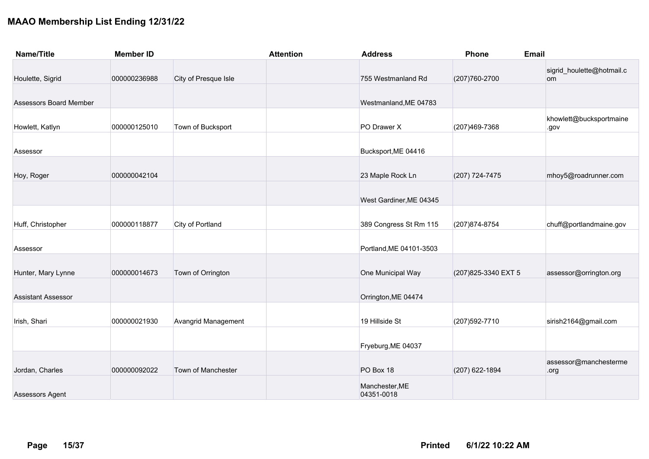| <b>Name/Title</b>             | <b>Member ID</b> |                      | <b>Attention</b> | <b>Address</b>               | Phone                | Email                           |
|-------------------------------|------------------|----------------------|------------------|------------------------------|----------------------|---------------------------------|
| Houlette, Sigrid              | 000000236988     | City of Presque Isle |                  | 755 Westmanland Rd           | (207) 760-2700       | sigrid_houlette@hotmail.c<br>om |
| <b>Assessors Board Member</b> |                  |                      |                  | Westmanland, ME 04783        |                      |                                 |
| Howlett, Katlyn               | 000000125010     | Town of Bucksport    |                  | PO Drawer X                  | (207) 469-7368       | khowlett@bucksportmaine<br>.gov |
| Assessor                      |                  |                      |                  | Bucksport, ME 04416          |                      |                                 |
| Hoy, Roger                    | 000000042104     |                      |                  | 23 Maple Rock Ln             | (207) 724-7475       | mhoy5@roadrunner.com            |
|                               |                  |                      |                  | West Gardiner, ME 04345      |                      |                                 |
| Huff, Christopher             | 000000118877     | City of Portland     |                  | 389 Congress St Rm 115       | (207) 874-8754       | chuff@portlandmaine.gov         |
| Assessor                      |                  |                      |                  | Portland, ME 04101-3503      |                      |                                 |
| Hunter, Mary Lynne            | 000000014673     | Town of Orrington    |                  | One Municipal Way            | (207) 825-3340 EXT 5 | assessor@orrington.org          |
| <b>Assistant Assessor</b>     |                  |                      |                  | Orrington, ME 04474          |                      |                                 |
| Irish, Shari                  | 000000021930     | Avangrid Management  |                  | 19 Hillside St               | (207) 592-7710       | sirish2164@gmail.com            |
|                               |                  |                      |                  | Fryeburg, ME 04037           |                      |                                 |
| Jordan, Charles               | 000000092022     | Town of Manchester   |                  | PO Box 18                    | (207) 622-1894       | assessor@manchesterme<br>.org   |
| Assessors Agent               |                  |                      |                  | Manchester, ME<br>04351-0018 |                      |                                 |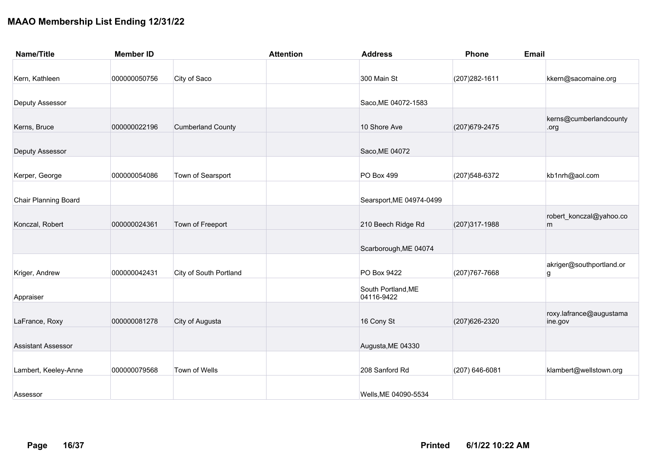| <b>Name/Title</b>           | <b>Member ID</b> |                          | <b>Attention</b> | <b>Address</b>           | Phone<br><b>Email</b> |                          |
|-----------------------------|------------------|--------------------------|------------------|--------------------------|-----------------------|--------------------------|
|                             |                  |                          |                  |                          |                       |                          |
| Kern, Kathleen              | 000000050756     | City of Saco             |                  | 300 Main St              | (207) 282-1611        | kkern@sacomaine.org      |
|                             |                  |                          |                  |                          |                       |                          |
| Deputy Assessor             |                  |                          |                  | Saco, ME 04072-1583      |                       |                          |
|                             |                  |                          |                  |                          |                       | kerns@cumberlandcounty   |
| Kerns, Bruce                | 000000022196     | <b>Cumberland County</b> |                  | 10 Shore Ave             | (207) 679-2475        | .org                     |
|                             |                  |                          |                  |                          |                       |                          |
| Deputy Assessor             |                  |                          |                  | Saco, ME 04072           |                       |                          |
|                             |                  |                          |                  |                          |                       |                          |
| Kerper, George              | 000000054086     | Town of Searsport        |                  | PO Box 499               | (207) 548-6372        | kb1nrh@aol.com           |
|                             |                  |                          |                  |                          |                       |                          |
| <b>Chair Planning Board</b> |                  |                          |                  | Searsport, ME 04974-0499 |                       |                          |
|                             |                  |                          |                  |                          |                       | robert_konczal@yahoo.co  |
| Konczal, Robert             | 000000024361     | Town of Freeport         |                  | 210 Beech Ridge Rd       | (207) 317-1988        | m                        |
|                             |                  |                          |                  |                          |                       |                          |
|                             |                  |                          |                  | Scarborough, ME 04074    |                       |                          |
|                             |                  |                          |                  |                          |                       | akriger@southportland.or |
| Kriger, Andrew              | 000000042431     | City of South Portland   |                  | PO Box 9422              | (207) 767-7668        | g                        |
|                             |                  |                          |                  | South Portland, ME       |                       |                          |
| Appraiser                   |                  |                          |                  | 04116-9422               |                       |                          |
|                             |                  |                          |                  |                          |                       | roxy.lafrance@augustama  |
| LaFrance, Roxy              | 000000081278     | City of Augusta          |                  | 16 Cony St               | (207) 626-2320        | ine.gov                  |
|                             |                  |                          |                  |                          |                       |                          |
| <b>Assistant Assessor</b>   |                  |                          |                  | Augusta, ME 04330        |                       |                          |
| Lambert, Keeley-Anne        | 000000079568     | Town of Wells            |                  | 208 Sanford Rd           | (207) 646-6081        | klambert@wellstown.org   |
|                             |                  |                          |                  |                          |                       |                          |
| Assessor                    |                  |                          |                  | Wells, ME 04090-5534     |                       |                          |
|                             |                  |                          |                  |                          |                       |                          |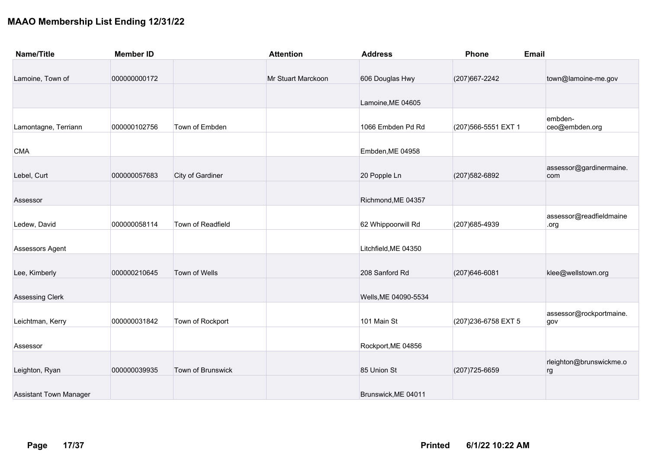| <b>Name/Title</b>             | <b>Member ID</b> |                   | <b>Attention</b>   | <b>Address</b>       | Phone                | Email                   |
|-------------------------------|------------------|-------------------|--------------------|----------------------|----------------------|-------------------------|
|                               |                  |                   |                    |                      |                      |                         |
| Lamoine, Town of              | 000000000172     |                   | Mr Stuart Marckoon | 606 Douglas Hwy      | (207) 667-2242       | town@lamoine-me.gov     |
|                               |                  |                   |                    |                      |                      |                         |
|                               |                  |                   |                    | Lamoine, ME 04605    |                      |                         |
|                               |                  |                   |                    |                      |                      | embden-                 |
| Lamontagne, Terriann          | 000000102756     | Town of Embden    |                    | 1066 Embden Pd Rd    | (207) 566-5551 EXT 1 | ceo@embden.org          |
|                               |                  |                   |                    |                      |                      |                         |
| <b>CMA</b>                    |                  |                   |                    | Embden, ME 04958     |                      |                         |
|                               |                  |                   |                    |                      |                      | assessor@gardinermaine. |
| Lebel, Curt                   | 000000057683     | City of Gardiner  |                    | 20 Popple Ln         | (207) 582-6892       | com                     |
|                               |                  |                   |                    |                      |                      |                         |
| Assessor                      |                  |                   |                    | Richmond, ME 04357   |                      |                         |
|                               |                  |                   |                    |                      |                      | assessor@readfieldmaine |
| Ledew, David                  | 000000058114     | Town of Readfield |                    | 62 Whippoorwill Rd   | (207) 685-4939       | .org                    |
|                               |                  |                   |                    |                      |                      |                         |
| Assessors Agent               |                  |                   |                    | Litchfield, ME 04350 |                      |                         |
|                               |                  |                   |                    |                      |                      |                         |
| Lee, Kimberly                 | 000000210645     | Town of Wells     |                    | 208 Sanford Rd       | (207) 646-6081       | klee@wellstown.org      |
|                               |                  |                   |                    |                      |                      |                         |
| Assessing Clerk               |                  |                   |                    | Wells, ME 04090-5534 |                      |                         |
|                               |                  |                   |                    |                      |                      | assessor@rockportmaine. |
| Leichtman, Kerry              | 000000031842     | Town of Rockport  |                    | 101 Main St          | (207) 236-6758 EXT 5 | gov                     |
|                               |                  |                   |                    |                      |                      |                         |
| Assessor                      |                  |                   |                    | Rockport, ME 04856   |                      |                         |
|                               |                  |                   |                    |                      |                      | rleighton@brunswickme.o |
| Leighton, Ryan                | 000000039935     | Town of Brunswick |                    | 85 Union St          | (207) 725-6659       | rg                      |
|                               |                  |                   |                    |                      |                      |                         |
| <b>Assistant Town Manager</b> |                  |                   |                    | Brunswick, ME 04011  |                      |                         |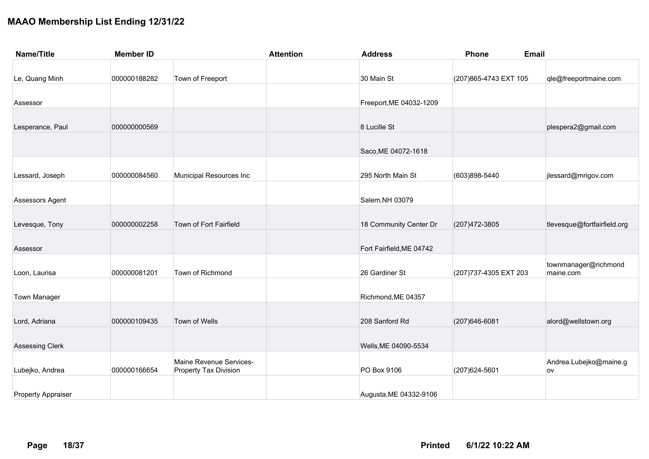| <b>Name/Title</b>         | <b>Member ID</b> | <b>Attention</b>                                        | <b>Address</b>           | Phone                  | <b>Email</b>                      |
|---------------------------|------------------|---------------------------------------------------------|--------------------------|------------------------|-----------------------------------|
| Le, Quang Minh            | 000000188282     | Town of Freeport                                        | 30 Main St               | (207) 865-4743 EXT 105 | qle@freeportmaine.com             |
| Assessor                  |                  |                                                         | Freeport, ME 04032-1209  |                        |                                   |
| Lesperance, Paul          | 000000000569     |                                                         | 8 Lucille St             |                        | plespera2@gmail.com               |
|                           |                  |                                                         | Saco, ME 04072-1618      |                        |                                   |
| Lessard, Joseph           | 000000084560     | Municipal Resources Inc                                 | 295 North Main St        | (603)898-5440          | jlessard@mrigov.com               |
| Assessors Agent           |                  |                                                         | Salem, NH 03079          |                        |                                   |
| Levesque, Tony            | 000000002258     | Town of Fort Fairfield                                  | 18 Community Center Dr   | (207) 472-3805         | tlevesque@fortfairfield.org       |
| Assessor                  |                  |                                                         | Fort Fairfield, ME 04742 |                        |                                   |
| Loon, Laurisa             | 000000081201     | Town of Richmond                                        | 26 Gardiner St           | (207) 737-4305 EXT 203 | townmanager@richmond<br>maine.com |
| <b>Town Manager</b>       |                  |                                                         | Richmond, ME 04357       |                        |                                   |
| Lord, Adriana             | 000000109435     | Town of Wells                                           | 208 Sanford Rd           | (207) 646-6081         | alord@wellstown.org               |
| <b>Assessing Clerk</b>    |                  |                                                         | Wells, ME 04090-5534     |                        |                                   |
| Lubejko, Andrea           | 000000166654     | Maine Revenue Services-<br><b>Property Tax Division</b> | PO Box 9106              | (207) 624-5601         | Andrea.Lubejko@maine.g<br>ov      |
| <b>Property Appraiser</b> |                  |                                                         | Augusta, ME 04332-9106   |                        |                                   |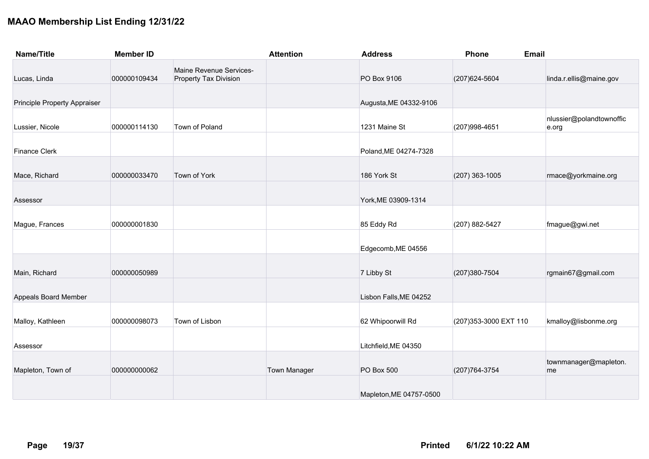| <b>Name/Title</b>            | <b>Member ID</b> |                                                  | <b>Attention</b>    | <b>Address</b>          | Phone                  | <b>Email</b>                      |
|------------------------------|------------------|--------------------------------------------------|---------------------|-------------------------|------------------------|-----------------------------------|
| Lucas, Linda                 | 000000109434     | Maine Revenue Services-<br>Property Tax Division |                     | PO Box 9106             | (207) 624-5604         | linda.r.ellis@maine.gov           |
| Principle Property Appraiser |                  |                                                  |                     | Augusta, ME 04332-9106  |                        |                                   |
| Lussier, Nicole              | 000000114130     | Town of Poland                                   |                     | 1231 Maine St           | (207) 998-4651         | nlussier@polandtownoffic<br>e.org |
| <b>Finance Clerk</b>         |                  |                                                  |                     | Poland, ME 04274-7328   |                        |                                   |
| Mace, Richard                | 000000033470     | Town of York                                     |                     | 186 York St             | $(207)$ 363-1005       | rmace@yorkmaine.org               |
| Assessor                     |                  |                                                  |                     | York, ME 03909-1314     |                        |                                   |
| Mague, Frances               | 000000001830     |                                                  |                     | 85 Eddy Rd              | (207) 882-5427         | fmague@gwi.net                    |
|                              |                  |                                                  |                     | Edgecomb, ME 04556      |                        |                                   |
| Main, Richard                | 000000050989     |                                                  |                     | 7 Libby St              | (207) 380-7504         | rgmain67@gmail.com                |
| Appeals Board Member         |                  |                                                  |                     | Lisbon Falls, ME 04252  |                        |                                   |
| Malloy, Kathleen             | 000000098073     | Town of Lisbon                                   |                     | 62 Whipoorwill Rd       | (207) 353-3000 EXT 110 | kmalloy@lisbonme.org              |
| Assessor                     |                  |                                                  |                     | Litchfield, ME 04350    |                        |                                   |
| Mapleton, Town of            | 000000000062     |                                                  | <b>Town Manager</b> | PO Box 500              | (207) 764-3754         | townmanager@mapleton.<br>me       |
|                              |                  |                                                  |                     | Mapleton, ME 04757-0500 |                        |                                   |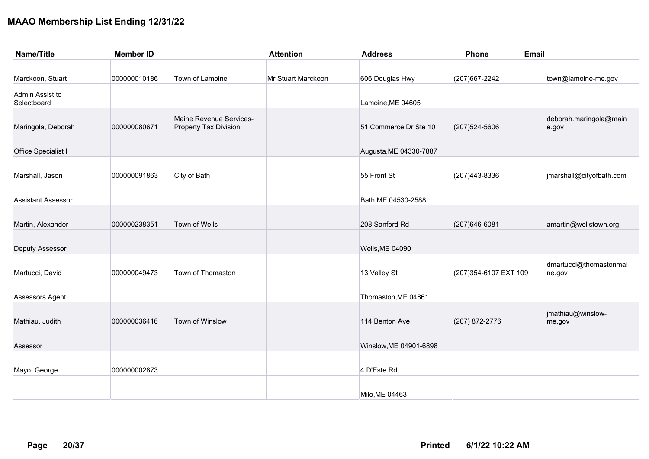| <b>Name/Title</b>              | <b>Member ID</b> |                                                         | <b>Attention</b>   | <b>Address</b>         | <b>Phone</b><br><b>Email</b> |                                  |
|--------------------------------|------------------|---------------------------------------------------------|--------------------|------------------------|------------------------------|----------------------------------|
|                                |                  |                                                         |                    |                        |                              |                                  |
| Marckoon, Stuart               | 000000010186     | Town of Lamoine                                         | Mr Stuart Marckoon | 606 Douglas Hwy        | (207) 667-2242               | town@lamoine-me.gov              |
| Admin Assist to<br>Selectboard |                  |                                                         |                    | Lamoine, ME 04605      |                              |                                  |
| Maringola, Deborah             | 000000080671     | Maine Revenue Services-<br><b>Property Tax Division</b> |                    | 51 Commerce Dr Ste 10  | (207) 524-5606               | deborah.maringola@main<br>e.gov  |
| Office Specialist I            |                  |                                                         |                    | Augusta, ME 04330-7887 |                              |                                  |
| Marshall, Jason                | 000000091863     | City of Bath                                            |                    | 55 Front St            | (207) 443-8336               | jmarshall@cityofbath.com         |
| <b>Assistant Assessor</b>      |                  |                                                         |                    | Bath, ME 04530-2588    |                              |                                  |
| Martin, Alexander              | 000000238351     | Town of Wells                                           |                    | 208 Sanford Rd         | (207) 646-6081               | amartin@wellstown.org            |
| Deputy Assessor                |                  |                                                         |                    | Wells, ME 04090        |                              |                                  |
| Martucci, David                | 000000049473     | Town of Thomaston                                       |                    | 13 Valley St           | (207) 354-6107 EXT 109       | dmartucci@thomastonmai<br>ne.gov |
| Assessors Agent                |                  |                                                         |                    | Thomaston, ME 04861    |                              |                                  |
| Mathiau, Judith                | 000000036416     | Town of Winslow                                         |                    | 114 Benton Ave         | (207) 872-2776               | jmathiau@winslow-<br>me.gov      |
| Assessor                       |                  |                                                         |                    | Winslow, ME 04901-6898 |                              |                                  |
| Mayo, George                   | 000000002873     |                                                         |                    | 4 D'Este Rd            |                              |                                  |
|                                |                  |                                                         |                    | Milo, ME 04463         |                              |                                  |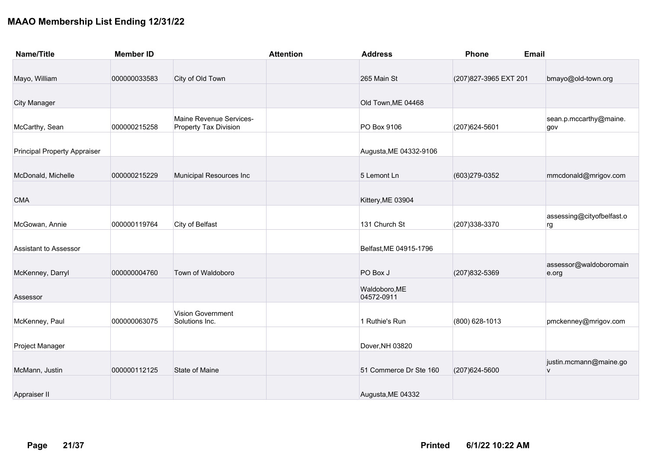| <b>Name/Title</b>                   | <b>Member ID</b> |                                                  | <b>Attention</b> | <b>Address</b>              | Phone                  | <b>Email</b>                    |
|-------------------------------------|------------------|--------------------------------------------------|------------------|-----------------------------|------------------------|---------------------------------|
| Mayo, William                       | 000000033583     | City of Old Town                                 |                  | 265 Main St                 | (207) 827-3965 EXT 201 | bmayo@old-town.org              |
|                                     |                  |                                                  |                  |                             |                        |                                 |
| <b>City Manager</b>                 |                  |                                                  |                  | Old Town, ME 04468          |                        |                                 |
| McCarthy, Sean                      | 000000215258     | Maine Revenue Services-<br>Property Tax Division |                  | PO Box 9106                 | (207) 624-5601         | sean.p.mccarthy@maine.<br>gov   |
| <b>Principal Property Appraiser</b> |                  |                                                  |                  | Augusta, ME 04332-9106      |                        |                                 |
| McDonald, Michelle                  | 000000215229     | Municipal Resources Inc                          |                  | 5 Lemont Ln                 | (603)279-0352          | mmcdonald@mrigov.com            |
| <b>CMA</b>                          |                  |                                                  |                  | Kittery, ME 03904           |                        |                                 |
| McGowan, Annie                      | 000000119764     | City of Belfast                                  |                  | 131 Church St               | (207) 338-3370         | assessing@cityofbelfast.o<br>rg |
| <b>Assistant to Assessor</b>        |                  |                                                  |                  | Belfast, ME 04915-1796      |                        |                                 |
| McKenney, Darryl                    | 000000004760     | Town of Waldoboro                                |                  | PO Box J                    | (207) 832-5369         | assessor@waldoboromain<br>e.org |
| Assessor                            |                  |                                                  |                  | Waldoboro, ME<br>04572-0911 |                        |                                 |
| McKenney, Paul                      | 000000063075     | <b>Vision Government</b><br>Solutions Inc.       |                  | 1 Ruthie's Run              | (800) 628-1013         | pmckenney@mrigov.com            |
| Project Manager                     |                  |                                                  |                  | Dover, NH 03820             |                        |                                 |
| McMann, Justin                      | 000000112125     | <b>State of Maine</b>                            |                  | 51 Commerce Dr Ste 160      | (207) 624-5600         | justin.mcmann@maine.go<br>V     |
| Appraiser II                        |                  |                                                  |                  | Augusta, ME 04332           |                        |                                 |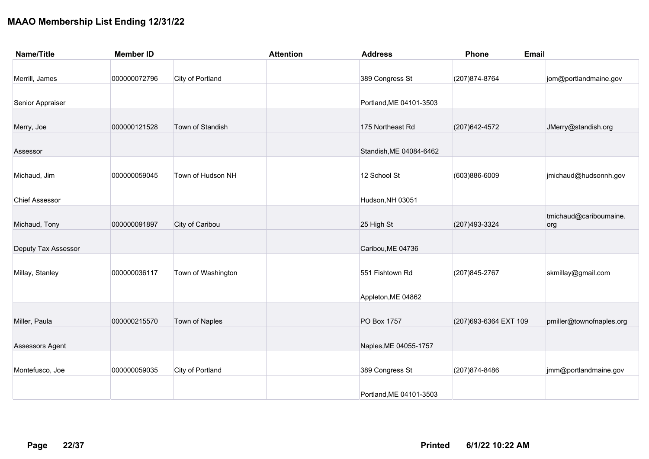| <b>Name/Title</b>     | <b>Member ID</b> |                    | <b>Attention</b> | <b>Address</b>          | <b>Phone</b>           | <b>Email</b>                  |
|-----------------------|------------------|--------------------|------------------|-------------------------|------------------------|-------------------------------|
| Merrill, James        | 000000072796     | City of Portland   |                  | 389 Congress St         | (207) 874-8764         | jom@portlandmaine.gov         |
| Senior Appraiser      |                  |                    |                  | Portland, ME 04101-3503 |                        |                               |
| Merry, Joe            | 000000121528     | Town of Standish   |                  | 175 Northeast Rd        | (207) 642-4572         | JMerry@standish.org           |
| Assessor              |                  |                    |                  | Standish, ME 04084-6462 |                        |                               |
| Michaud, Jim          | 000000059045     | Town of Hudson NH  |                  | 12 School St            | (603)886-6009          | jmichaud@hudsonnh.gov         |
| <b>Chief Assessor</b> |                  |                    |                  | Hudson, NH 03051        |                        |                               |
| Michaud, Tony         | 000000091897     | City of Caribou    |                  | 25 High St              | (207) 493-3324         | tmichaud@cariboumaine.<br>org |
| Deputy Tax Assessor   |                  |                    |                  | Caribou, ME 04736       |                        |                               |
| Millay, Stanley       | 000000036117     | Town of Washington |                  | 551 Fishtown Rd         | (207) 845-2767         | skmillay@gmail.com            |
|                       |                  |                    |                  | Appleton, ME 04862      |                        |                               |
| Miller, Paula         | 000000215570     | Town of Naples     |                  | PO Box 1757             | (207) 693-6364 EXT 109 | pmiller@townofnaples.org      |
| Assessors Agent       |                  |                    |                  | Naples, ME 04055-1757   |                        |                               |
| Montefusco, Joe       | 000000059035     | City of Portland   |                  | 389 Congress St         | (207) 874-8486         | jmm@portlandmaine.gov         |
|                       |                  |                    |                  | Portland, ME 04101-3503 |                        |                               |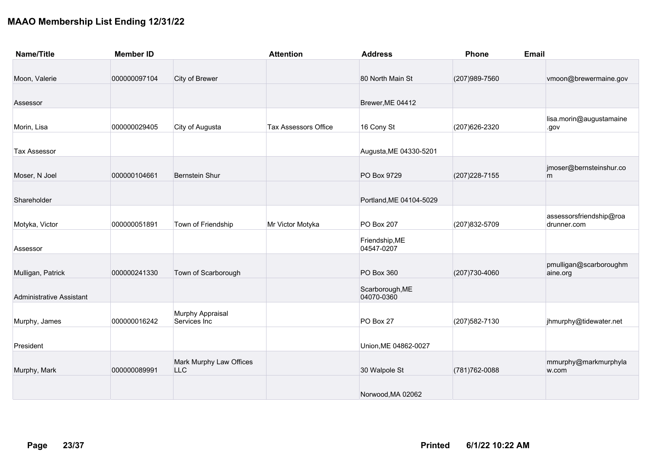| <b>Name/Title</b>               | <b>Member ID</b> |                         | <b>Attention</b>            | <b>Address</b>          | Phone          | <b>Email</b>            |
|---------------------------------|------------------|-------------------------|-----------------------------|-------------------------|----------------|-------------------------|
|                                 |                  |                         |                             |                         |                |                         |
| Moon, Valerie                   | 000000097104     | City of Brewer          |                             | 80 North Main St        | (207) 989-7560 | vmoon@brewermaine.gov   |
|                                 |                  |                         |                             |                         |                |                         |
| Assessor                        |                  |                         |                             | Brewer, ME 04412        |                |                         |
|                                 |                  |                         |                             |                         |                | lisa.morin@augustamaine |
| Morin, Lisa                     | 000000029405     | City of Augusta         | <b>Tax Assessors Office</b> | 16 Cony St              | (207) 626-2320 | .gov                    |
|                                 |                  |                         |                             |                         |                |                         |
| <b>Tax Assessor</b>             |                  |                         |                             | Augusta, ME 04330-5201  |                |                         |
|                                 |                  |                         |                             |                         |                | jmoser@bernsteinshur.co |
| Moser, N Joel                   | 000000104661     | <b>Bernstein Shur</b>   |                             | PO Box 9729             | (207) 228-7155 | m                       |
|                                 |                  |                         |                             |                         |                |                         |
| Shareholder                     |                  |                         |                             | Portland, ME 04104-5029 |                |                         |
|                                 |                  |                         |                             |                         |                | assessorsfriendship@roa |
| Motyka, Victor                  | 000000051891     | Town of Friendship      | Mr Victor Motyka            | <b>PO Box 207</b>       | (207) 832-5709 | drunner.com             |
|                                 |                  |                         |                             | Friendship, ME          |                |                         |
| Assessor                        |                  |                         |                             | 04547-0207              |                |                         |
|                                 |                  |                         |                             |                         |                | pmulligan@scarboroughm  |
| Mulligan, Patrick               | 000000241330     | Town of Scarborough     |                             | PO Box 360              | (207) 730-4060 | aine.org                |
|                                 |                  |                         |                             | Scarborough, ME         |                |                         |
| <b>Administrative Assistant</b> |                  |                         |                             | 04070-0360              |                |                         |
|                                 |                  | Murphy Appraisal        |                             |                         |                |                         |
| Murphy, James                   | 000000016242     | Services Inc            |                             | PO Box 27               | (207) 582-7130 | jhmurphy@tidewater.net  |
|                                 |                  |                         |                             |                         |                |                         |
| President                       |                  |                         |                             | Union, ME 04862-0027    |                |                         |
|                                 |                  | Mark Murphy Law Offices |                             |                         |                | mmurphy@markmurphyla    |
| Murphy, Mark                    | 000000089991     | <b>LLC</b>              |                             | 30 Walpole St           | (781) 762-0088 | w.com                   |
|                                 |                  |                         |                             |                         |                |                         |
|                                 |                  |                         |                             | Norwood, MA 02062       |                |                         |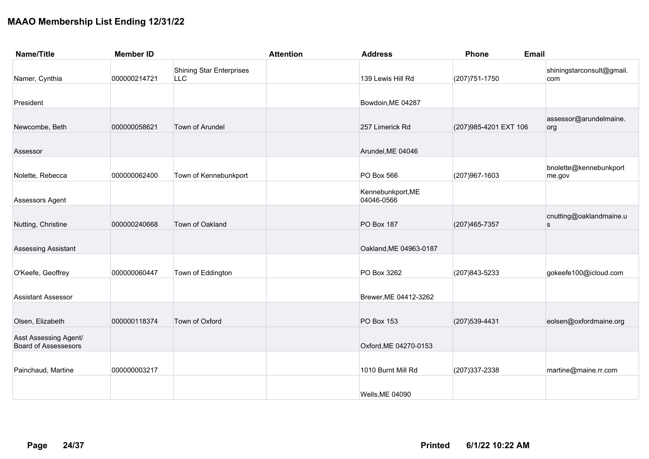| <b>Name/Title</b>                                    | <b>Member ID</b> |                                               | <b>Attention</b> | <b>Address</b>                  | Phone<br><b>Email</b>  |                                  |
|------------------------------------------------------|------------------|-----------------------------------------------|------------------|---------------------------------|------------------------|----------------------------------|
| Namer, Cynthia                                       | 000000214721     | <b>Shining Star Enterprises</b><br><b>LLC</b> |                  | 139 Lewis Hill Rd               | (207) 751-1750         | shiningstarconsult@gmail.<br>com |
| President                                            |                  |                                               |                  | Bowdoin, ME 04287               |                        |                                  |
| Newcombe, Beth                                       | 000000058621     | Town of Arundel                               |                  | 257 Limerick Rd                 | (207) 985-4201 EXT 106 | assessor@arundelmaine.<br>org    |
| Assessor                                             |                  |                                               |                  | Arundel, ME 04046               |                        |                                  |
| Nolette, Rebecca                                     | 000000062400     | Town of Kennebunkport                         |                  | PO Box 566                      | (207) 967-1603         | bnolette@kennebunkport<br>me.gov |
| Assessors Agent                                      |                  |                                               |                  | Kennebunkport, ME<br>04046-0566 |                        |                                  |
| Nutting, Christine                                   | 000000240668     | Town of Oakland                               |                  | <b>PO Box 187</b>               | (207) 465-7357         | cnutting@oaklandmaine.u<br>s     |
| Assessing Assistant                                  |                  |                                               |                  | Oakland, ME 04963-0187          |                        |                                  |
| O'Keefe, Geoffrey                                    | 000000060447     | Town of Eddington                             |                  | PO Box 3262                     | (207) 843-5233         | gokeefe100@icloud.com            |
| <b>Assistant Assessor</b>                            |                  |                                               |                  | Brewer, ME 04412-3262           |                        |                                  |
| Olsen, Elizabeth                                     | 000000118374     | Town of Oxford                                |                  | <b>PO Box 153</b>               | (207) 539-4431         | eolsen@oxfordmaine.org           |
| Asst Assessing Agent/<br><b>Board of Assessesors</b> |                  |                                               |                  | Oxford, ME 04270-0153           |                        |                                  |
| Painchaud, Martine                                   | 000000003217     |                                               |                  | 1010 Burnt Mill Rd              | (207) 337-2338         | martine@maine.rr.com             |
|                                                      |                  |                                               |                  | Wells, ME 04090                 |                        |                                  |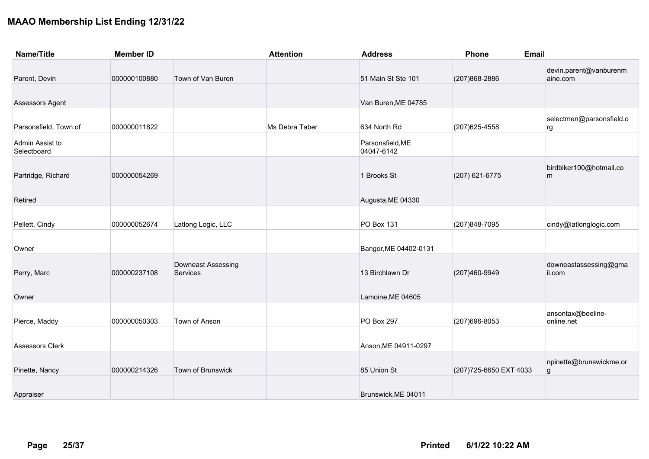| <b>Name/Title</b>              | <b>Member ID</b> |                                | <b>Attention</b> | <b>Address</b>                 | Phone                   | <b>Email</b>                       |
|--------------------------------|------------------|--------------------------------|------------------|--------------------------------|-------------------------|------------------------------------|
| Parent, Devin                  | 000000100880     | Town of Van Buren              |                  | 51 Main St Ste 101             | (207) 868-2886          | devin.parent@vanburenm<br>aine.com |
| Assessors Agent                |                  |                                |                  | Van Buren, ME 04785            |                         |                                    |
| Parsonsfield, Town of          | 000000011822     |                                | Ms Debra Taber   | 634 North Rd                   | (207) 625-4558          | selectmen@parsonsfield.o<br>rg     |
| Admin Assist to<br>Selectboard |                  |                                |                  | Parsonsfield, ME<br>04047-6142 |                         |                                    |
| Partridge, Richard             | 000000054269     |                                |                  | 1 Brooks St                    | (207) 621-6775          | birdbiker100@hotmail.co<br>m       |
| Retired                        |                  |                                |                  | Augusta, ME 04330              |                         |                                    |
| Pellett, Cindy                 | 000000052674     | Latlong Logic, LLC             |                  | PO Box 131                     | (207) 848-7095          | cindy@latlonglogic.com             |
| Owner                          |                  |                                |                  | Bangor, ME 04402-0131          |                         |                                    |
| Perry, Marc                    | 000000237108     | Downeast Assessing<br>Services |                  | 13 Birchlawn Dr                | (207)460-9949           | downeastassessing@gma<br>il.com    |
| Owner                          |                  |                                |                  | Lamoine, ME 04605              |                         |                                    |
| Pierce, Maddy                  | 000000050303     | Town of Anson                  |                  | <b>PO Box 297</b>              | (207) 696-8053          | ansontax@beeline-<br>online.net    |
| <b>Assessors Clerk</b>         |                  |                                |                  | Anson, ME 04911-0297           |                         |                                    |
| Pinette, Nancy                 | 000000214326     | Town of Brunswick              |                  | 85 Union St                    | (207) 725-6650 EXT 4033 | npinette@brunswickme.or<br>g       |
| Appraiser                      |                  |                                |                  | Brunswick, ME 04011            |                         |                                    |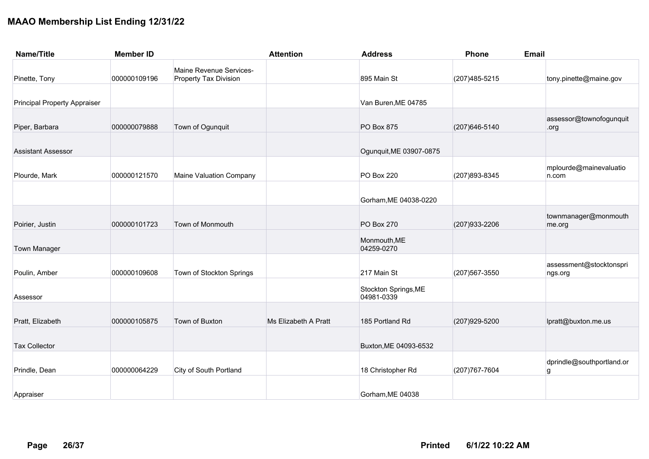| <b>Name/Title</b>                   | <b>Member ID</b> |                                                         | <b>Attention</b>     | <b>Address</b>                     | Phone          | <b>Email</b>                       |
|-------------------------------------|------------------|---------------------------------------------------------|----------------------|------------------------------------|----------------|------------------------------------|
| Pinette, Tony                       | 000000109196     | Maine Revenue Services-<br><b>Property Tax Division</b> |                      | 895 Main St                        | (207) 485-5215 | tony.pinette@maine.gov             |
| <b>Principal Property Appraiser</b> |                  |                                                         |                      | Van Buren, ME 04785                |                |                                    |
| Piper, Barbara                      | 000000079888     | Town of Ogunquit                                        |                      | PO Box 875                         | (207) 646-5140 | assessor@townofogunquit<br>.org    |
| <b>Assistant Assessor</b>           |                  |                                                         |                      | Ogunquit, ME 03907-0875            |                |                                    |
| Plourde, Mark                       | 000000121570     | Maine Valuation Company                                 |                      | <b>PO Box 220</b>                  | (207) 893-8345 | mplourde@mainevaluatio<br>n.com    |
|                                     |                  |                                                         |                      | Gorham, ME 04038-0220              |                |                                    |
| Poirier, Justin                     | 000000101723     | Town of Monmouth                                        |                      | <b>PO Box 270</b>                  | (207) 933-2206 | townmanager@monmouth<br>me.org     |
| <b>Town Manager</b>                 |                  |                                                         |                      | Monmouth, ME<br>04259-0270         |                |                                    |
| Poulin, Amber                       | 000000109608     | Town of Stockton Springs                                |                      | 217 Main St                        | (207) 567-3550 | assessment@stocktonspri<br>ngs.org |
| Assessor                            |                  |                                                         |                      | Stockton Springs, ME<br>04981-0339 |                |                                    |
| Pratt, Elizabeth                    | 000000105875     | Town of Buxton                                          | Ms Elizabeth A Pratt | 185 Portland Rd                    | (207) 929-5200 | lpratt@buxton.me.us                |
| <b>Tax Collector</b>                |                  |                                                         |                      | Buxton, ME 04093-6532              |                |                                    |
| Prindle, Dean                       | 000000064229     | <b>City of South Portland</b>                           |                      | 18 Christopher Rd                  | (207) 767-7604 | dprindle@southportland.or<br>g     |
| Appraiser                           |                  |                                                         |                      | Gorham, ME 04038                   |                |                                    |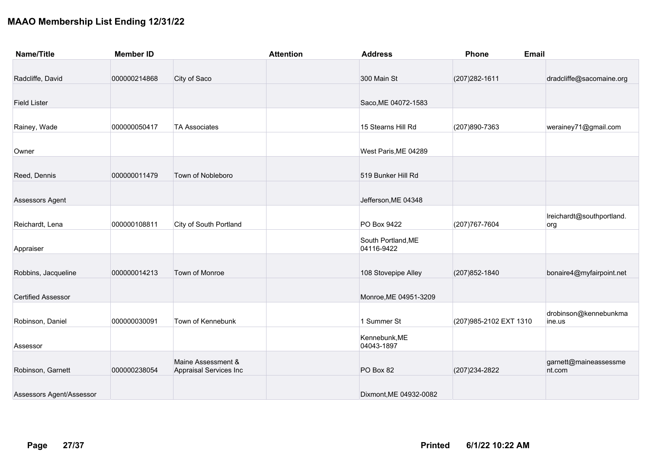| <b>Name/Title</b>         | <b>Member ID</b> |                                              | <b>Attention</b> | <b>Address</b>                   | Phone                   | <b>Email</b>                     |
|---------------------------|------------------|----------------------------------------------|------------------|----------------------------------|-------------------------|----------------------------------|
|                           |                  |                                              |                  |                                  |                         |                                  |
| Radcliffe, David          | 000000214868     | City of Saco                                 |                  | 300 Main St                      | (207) 282-1611          | dradcliffe@sacomaine.org         |
| <b>Field Lister</b>       |                  |                                              |                  | Saco, ME 04072-1583              |                         |                                  |
| Rainey, Wade              | 000000050417     | <b>TA Associates</b>                         |                  | 15 Stearns Hill Rd               | (207)890-7363           | werainey71@gmail.com             |
| Owner                     |                  |                                              |                  | West Paris, ME 04289             |                         |                                  |
| Reed, Dennis              | 000000011479     | Town of Nobleboro                            |                  | 519 Bunker Hill Rd               |                         |                                  |
| Assessors Agent           |                  |                                              |                  | Jefferson, ME 04348              |                         |                                  |
| Reichardt, Lena           | 000000108811     | <b>City of South Portland</b>                |                  | PO Box 9422                      | (207) 767-7604          | Ireichardt@southportland.<br>org |
| Appraiser                 |                  |                                              |                  | South Portland, ME<br>04116-9422 |                         |                                  |
| Robbins, Jacqueline       | 000000014213     | Town of Monroe                               |                  | 108 Stovepipe Alley              | (207) 852-1840          | bonaire4@myfairpoint.net         |
| <b>Certified Assessor</b> |                  |                                              |                  | Monroe, ME 04951-3209            |                         |                                  |
| Robinson, Daniel          | 000000030091     | Town of Kennebunk                            |                  | 1 Summer St                      | (207) 985-2102 EXT 1310 | drobinson@kennebunkma<br>ine.us  |
| Assessor                  |                  |                                              |                  | Kennebunk, ME<br>04043-1897      |                         |                                  |
| Robinson, Garnett         | 000000238054     | Maine Assessment &<br>Appraisal Services Inc |                  | PO Box 82                        | (207) 234-2822          | garnett@maineassessme<br>nt.com  |
| Assessors Agent/Assessor  |                  |                                              |                  | Dixmont, ME 04932-0082           |                         |                                  |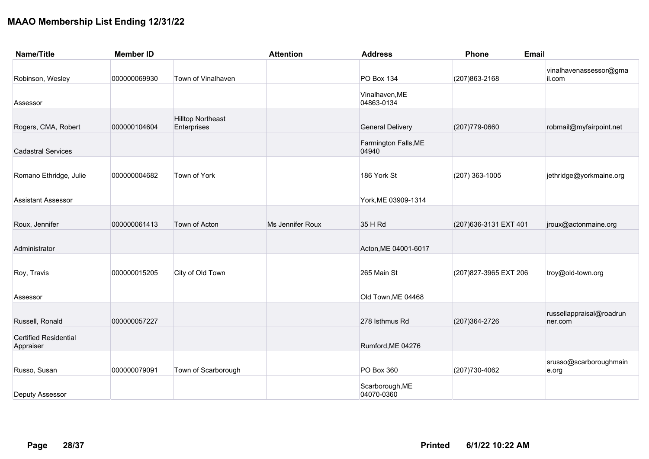| <b>Name/Title</b>                         | <b>Member ID</b> |                                         | <b>Attention</b> | <b>Address</b>                | Phone<br><b>Email</b>  |                                     |
|-------------------------------------------|------------------|-----------------------------------------|------------------|-------------------------------|------------------------|-------------------------------------|
| Robinson, Wesley                          | 000000069930     | Town of Vinalhaven                      |                  | <b>PO Box 134</b>             | (207) 863-2168         | vinalhavenassessor@gma<br>il.com    |
| Assessor                                  |                  |                                         |                  | Vinalhaven, ME<br>04863-0134  |                        |                                     |
| Rogers, CMA, Robert                       | 000000104604     | <b>Hilltop Northeast</b><br>Enterprises |                  | <b>General Delivery</b>       | (207) 779-0660         | robmail@myfairpoint.net             |
| <b>Cadastral Services</b>                 |                  |                                         |                  | Farmington Falls, ME<br>04940 |                        |                                     |
| Romano Ethridge, Julie                    | 000000004682     | Town of York                            |                  | 186 York St                   | $(207)$ 363-1005       | jethridge@yorkmaine.org             |
| <b>Assistant Assessor</b>                 |                  |                                         |                  | York, ME 03909-1314           |                        |                                     |
| Roux, Jennifer                            | 000000061413     | Town of Acton                           | Ms Jennifer Roux | 35 H Rd                       | (207) 636-3131 EXT 401 | jroux@actonmaine.org                |
| Administrator                             |                  |                                         |                  | Acton, ME 04001-6017          |                        |                                     |
| Roy, Travis                               | 000000015205     | City of Old Town                        |                  | 265 Main St                   | (207) 827-3965 EXT 206 | troy@old-town.org                   |
| Assessor                                  |                  |                                         |                  | Old Town, ME 04468            |                        |                                     |
| Russell, Ronald                           | 000000057227     |                                         |                  | 278 Isthmus Rd                | (207) 364-2726         | russellappraisal@roadrun<br>ner.com |
| <b>Certified Residential</b><br>Appraiser |                  |                                         |                  | Rumford, ME 04276             |                        |                                     |
| Russo, Susan                              | 000000079091     | Town of Scarborough                     |                  | PO Box 360                    | (207) 730-4062         | srusso@scarboroughmain<br>e.org     |
| Deputy Assessor                           |                  |                                         |                  | Scarborough, ME<br>04070-0360 |                        |                                     |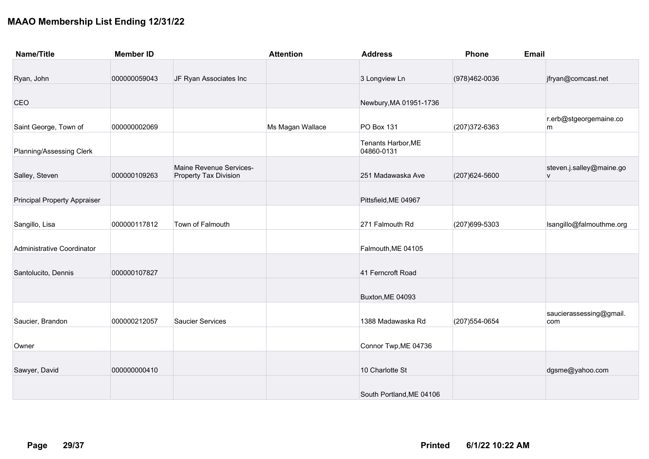| <b>Name/Title</b>                   | <b>Member ID</b> |                                                         | <b>Attention</b> | <b>Address</b>                   | Phone          | <b>Email</b>                  |
|-------------------------------------|------------------|---------------------------------------------------------|------------------|----------------------------------|----------------|-------------------------------|
|                                     |                  |                                                         |                  |                                  |                |                               |
| Ryan, John                          | 000000059043     | JF Ryan Associates Inc                                  |                  | 3 Longview Ln                    | (978)462-0036  | jfryan@comcast.net            |
|                                     |                  |                                                         |                  |                                  |                |                               |
| CEO                                 |                  |                                                         |                  | Newbury, MA 01951-1736           |                |                               |
|                                     |                  |                                                         |                  |                                  |                | r.erb@stgeorgemaine.co        |
| Saint George, Town of               | 000000002069     |                                                         | Ms Magan Wallace | PO Box 131                       | (207) 372-6363 | m                             |
| Planning/Assessing Clerk            |                  |                                                         |                  | Tenants Harbor, ME<br>04860-0131 |                |                               |
| Salley, Steven                      | 000000109263     | Maine Revenue Services-<br><b>Property Tax Division</b> |                  | 251 Madawaska Ave                | (207) 624-5600 | steven.j.salley@maine.go<br>V |
|                                     |                  |                                                         |                  |                                  |                |                               |
| <b>Principal Property Appraiser</b> |                  |                                                         |                  | Pittsfield, ME 04967             |                |                               |
|                                     |                  |                                                         |                  |                                  |                |                               |
| Sangillo, Lisa                      | 000000117812     | Town of Falmouth                                        |                  | 271 Falmouth Rd                  | (207) 699-5303 | Isangillo@falmouthme.org      |
|                                     |                  |                                                         |                  |                                  |                |                               |
| Administrative Coordinator          |                  |                                                         |                  | Falmouth, ME 04105               |                |                               |
|                                     |                  |                                                         |                  |                                  |                |                               |
| Santolucito, Dennis                 | 000000107827     |                                                         |                  | 41 Ferncroft Road                |                |                               |
|                                     |                  |                                                         |                  | Buxton, ME 04093                 |                |                               |
|                                     |                  |                                                         |                  |                                  |                | saucierassessing@gmail.       |
| Saucier, Brandon                    | 000000212057     | <b>Saucier Services</b>                                 |                  | 1388 Madawaska Rd                | (207) 554-0654 | com                           |
|                                     |                  |                                                         |                  |                                  |                |                               |
| Owner                               |                  |                                                         |                  | Connor Twp, ME 04736             |                |                               |
| Sawyer, David                       | 000000000410     |                                                         |                  | 10 Charlotte St                  |                | dgsme@yahoo.com               |
|                                     |                  |                                                         |                  |                                  |                |                               |
|                                     |                  |                                                         |                  | South Portland, ME 04106         |                |                               |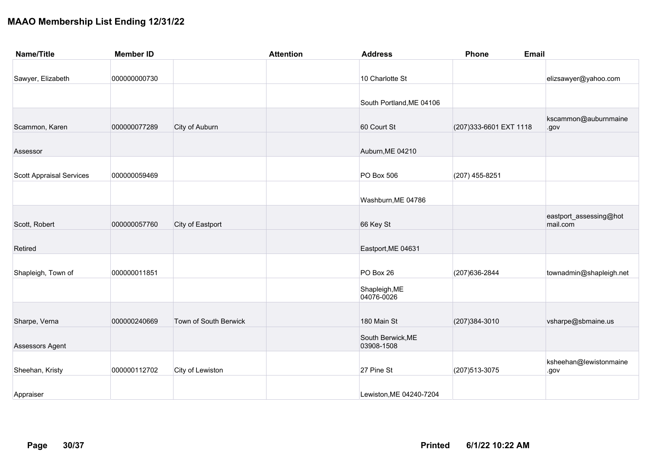| <b>Name/Title</b>               | <b>Member ID</b> |                       | <b>Attention</b> | <b>Address</b>           | <b>Phone</b><br><b>Email</b> |                                    |
|---------------------------------|------------------|-----------------------|------------------|--------------------------|------------------------------|------------------------------------|
|                                 |                  |                       |                  |                          |                              |                                    |
| Sawyer, Elizabeth               | 000000000730     |                       |                  | 10 Charlotte St          |                              | elizsawyer@yahoo.com               |
|                                 |                  |                       |                  |                          |                              |                                    |
|                                 |                  |                       |                  | South Portland, ME 04106 |                              |                                    |
|                                 |                  |                       |                  |                          |                              |                                    |
| Scammon, Karen                  | 000000077289     | City of Auburn        |                  | 60 Court St              | (207) 333-6601 EXT 1118      | kscammon@auburnmaine<br>.gov       |
|                                 |                  |                       |                  |                          |                              |                                    |
| Assessor                        |                  |                       |                  | Auburn, ME 04210         |                              |                                    |
|                                 |                  |                       |                  |                          |                              |                                    |
| <b>Scott Appraisal Services</b> | 000000059469     |                       |                  | PO Box 506               | (207) 455-8251               |                                    |
|                                 |                  |                       |                  |                          |                              |                                    |
|                                 |                  |                       |                  | Washburn, ME 04786       |                              |                                    |
|                                 |                  |                       |                  |                          |                              |                                    |
| Scott, Robert                   | 000000057760     | City of Eastport      |                  | 66 Key St                |                              | eastport_assessing@hot<br>mail.com |
|                                 |                  |                       |                  |                          |                              |                                    |
| Retired                         |                  |                       |                  | Eastport, ME 04631       |                              |                                    |
|                                 |                  |                       |                  |                          |                              |                                    |
| Shapleigh, Town of              | 000000011851     |                       |                  | PO Box 26                | (207) 636-2844               | townadmin@shapleigh.net            |
|                                 |                  |                       |                  | Shapleigh, ME            |                              |                                    |
|                                 |                  |                       |                  | 04076-0026               |                              |                                    |
|                                 |                  |                       |                  |                          |                              |                                    |
| Sharpe, Verna                   | 000000240669     | Town of South Berwick |                  | 180 Main St              | (207) 384-3010               | vsharpe@sbmaine.us                 |
|                                 |                  |                       |                  | South Berwick, ME        |                              |                                    |
| Assessors Agent                 |                  |                       |                  | 03908-1508               |                              |                                    |
|                                 |                  |                       |                  |                          |                              | ksheehan@lewistonmaine             |
| Sheehan, Kristy                 | 000000112702     | City of Lewiston      |                  | 27 Pine St               | (207) 513-3075               | .gov                               |
|                                 |                  |                       |                  |                          |                              |                                    |
| Appraiser                       |                  |                       |                  | Lewiston, ME 04240-7204  |                              |                                    |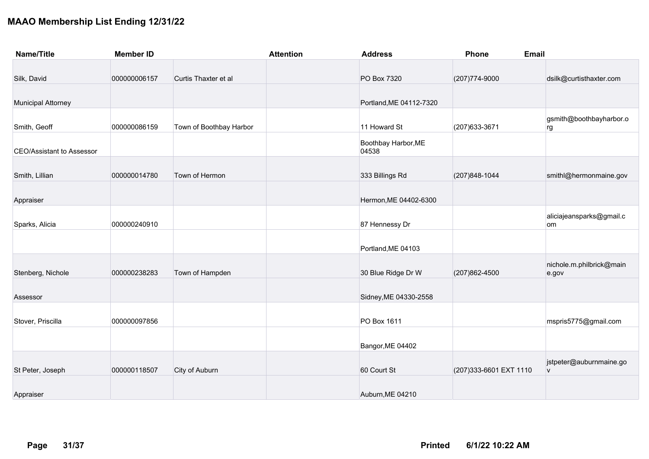| <b>Name/Title</b>                | <b>Member ID</b> |                         | <b>Attention</b> | <b>Address</b>               | Phone                   | <b>Email</b>                      |
|----------------------------------|------------------|-------------------------|------------------|------------------------------|-------------------------|-----------------------------------|
|                                  |                  |                         |                  |                              |                         |                                   |
| Silk, David                      | 000000006157     | Curtis Thaxter et al    |                  | PO Box 7320                  | (207) 774-9000          | dsilk@curtisthaxter.com           |
| <b>Municipal Attorney</b>        |                  |                         |                  | Portland, ME 04112-7320      |                         |                                   |
| Smith, Geoff                     | 000000086159     | Town of Boothbay Harbor |                  | 11 Howard St                 | (207) 633-3671          | gsmith@boothbayharbor.o<br>rg     |
| <b>CEO/Assistant to Assessor</b> |                  |                         |                  | Boothbay Harbor, ME<br>04538 |                         |                                   |
| Smith, Lillian                   | 000000014780     | Town of Hermon          |                  | 333 Billings Rd              | (207) 848-1044          | smithl@hermonmaine.gov            |
| Appraiser                        |                  |                         |                  | Hermon, ME 04402-6300        |                         |                                   |
| Sparks, Alicia                   | 000000240910     |                         |                  | 87 Hennessy Dr               |                         | aliciajeansparks@gmail.c<br>om    |
|                                  |                  |                         |                  | Portland, ME 04103           |                         |                                   |
| Stenberg, Nichole                | 000000238283     | Town of Hampden         |                  | 30 Blue Ridge Dr W           | (207) 862-4500          | nichole.m.philbrick@main<br>e.gov |
| Assessor                         |                  |                         |                  | Sidney, ME 04330-2558        |                         |                                   |
| Stover, Priscilla                | 000000097856     |                         |                  | PO Box 1611                  |                         | mspris5775@gmail.com              |
|                                  |                  |                         |                  | Bangor, ME 04402             |                         |                                   |
| St Peter, Joseph                 | 000000118507     | City of Auburn          |                  | 60 Court St                  | (207) 333-6601 EXT 1110 | jstpeter@auburnmaine.go<br>V      |
| Appraiser                        |                  |                         |                  | Auburn, ME 04210             |                         |                                   |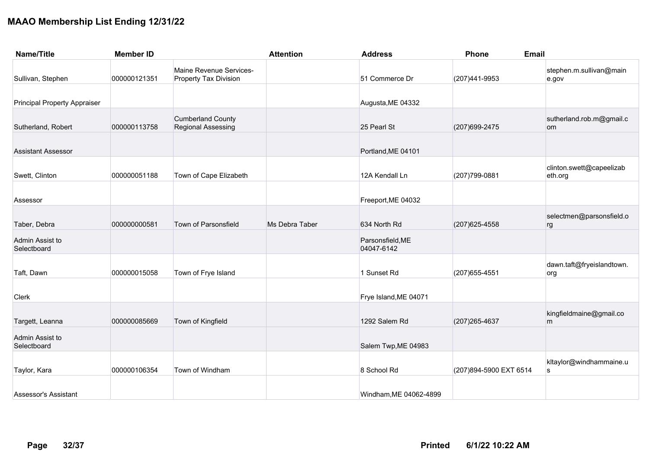| <b>Name/Title</b>                   | <b>Member ID</b> |                                                         | <b>Attention</b> | <b>Address</b>                 | Phone                   | <b>Email</b>                        |
|-------------------------------------|------------------|---------------------------------------------------------|------------------|--------------------------------|-------------------------|-------------------------------------|
| Sullivan, Stephen                   | 000000121351     | Maine Revenue Services-<br><b>Property Tax Division</b> |                  | 51 Commerce Dr                 | (207)441-9953           | stephen.m.sullivan@main<br>e.gov    |
| <b>Principal Property Appraiser</b> |                  |                                                         |                  | Augusta, ME 04332              |                         |                                     |
| Sutherland, Robert                  | 000000113758     | <b>Cumberland County</b><br><b>Regional Assessing</b>   |                  | 25 Pearl St                    | (207) 699-2475          | sutherland.rob.m@gmail.c<br>om      |
| <b>Assistant Assessor</b>           |                  |                                                         |                  | Portland, ME 04101             |                         |                                     |
| Swett, Clinton                      | 000000051188     | Town of Cape Elizabeth                                  |                  | 12A Kendall Ln                 | (207) 799-0881          | clinton.swett@capeelizab<br>eth.org |
| Assessor                            |                  |                                                         |                  | Freeport, ME 04032             |                         |                                     |
| Taber, Debra                        | 000000000581     | Town of Parsonsfield                                    | Ms Debra Taber   | 634 North Rd                   | (207) 625-4558          | selectmen@parsonsfield.o<br>rg      |
| Admin Assist to<br>Selectboard      |                  |                                                         |                  | Parsonsfield, ME<br>04047-6142 |                         |                                     |
| Taft, Dawn                          | 000000015058     | Town of Frye Island                                     |                  | 1 Sunset Rd                    | (207) 655-4551          | dawn.taft@fryeislandtown.<br>org    |
| Clerk                               |                  |                                                         |                  | Frye Island, ME 04071          |                         |                                     |
| Targett, Leanna                     | 000000085669     | Town of Kingfield                                       |                  | 1292 Salem Rd                  | (207) 265-4637          | kingfieldmaine@gmail.co<br>m        |
| Admin Assist to<br>Selectboard      |                  |                                                         |                  | Salem Twp, ME 04983            |                         |                                     |
| Taylor, Kara                        | 000000106354     | Town of Windham                                         |                  | 8 School Rd                    | (207) 894-5900 EXT 6514 | kltaylor@windhammaine.u<br>s        |
| Assessor's Assistant                |                  |                                                         |                  | Windham, ME 04062-4899         |                         |                                     |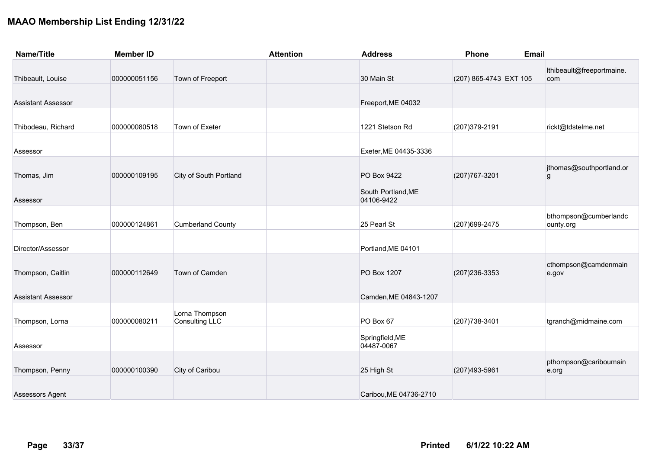| <b>Name/Title</b>         | <b>Member ID</b> |                                         | <b>Attention</b> | <b>Address</b>                   | <b>Phone</b>           | <b>Email</b>                       |
|---------------------------|------------------|-----------------------------------------|------------------|----------------------------------|------------------------|------------------------------------|
| Thibeault, Louise         | 000000051156     | Town of Freeport                        |                  | 30 Main St                       | (207) 865-4743 EXT 105 | Ithibeault@freeportmaine.<br>com   |
| <b>Assistant Assessor</b> |                  |                                         |                  | Freeport, ME 04032               |                        |                                    |
| Thibodeau, Richard        | 000000080518     | Town of Exeter                          |                  | 1221 Stetson Rd                  | (207) 379-2191         | rickt@tdstelme.net                 |
| Assessor                  |                  |                                         |                  | Exeter, ME 04435-3336            |                        |                                    |
| Thomas, Jim               | 000000109195     | City of South Portland                  |                  | PO Box 9422                      | (207) 767-3201         | jthomas@southportland.or<br>g      |
| Assessor                  |                  |                                         |                  | South Portland, ME<br>04106-9422 |                        |                                    |
| Thompson, Ben             | 000000124861     | <b>Cumberland County</b>                |                  | 25 Pearl St                      | (207) 699-2475         | bthompson@cumberlandc<br>ounty.org |
| Director/Assessor         |                  |                                         |                  | Portland, ME 04101               |                        |                                    |
| Thompson, Caitlin         | 000000112649     | Town of Camden                          |                  | PO Box 1207                      | (207) 236-3353         | cthompson@camdenmain<br>e.gov      |
| <b>Assistant Assessor</b> |                  |                                         |                  | Camden, ME 04843-1207            |                        |                                    |
| Thompson, Lorna           | 000000080211     | Lorna Thompson<br><b>Consulting LLC</b> |                  | PO Box 67                        | (207) 738-3401         | tgranch@midmaine.com               |
| Assessor                  |                  |                                         |                  | Springfield, ME<br>04487-0067    |                        |                                    |
| Thompson, Penny           | 000000100390     | City of Caribou                         |                  | 25 High St                       | (207) 493-5961         | pthompson@cariboumain<br>e.org     |
| Assessors Agent           |                  |                                         |                  | Caribou, ME 04736-2710           |                        |                                    |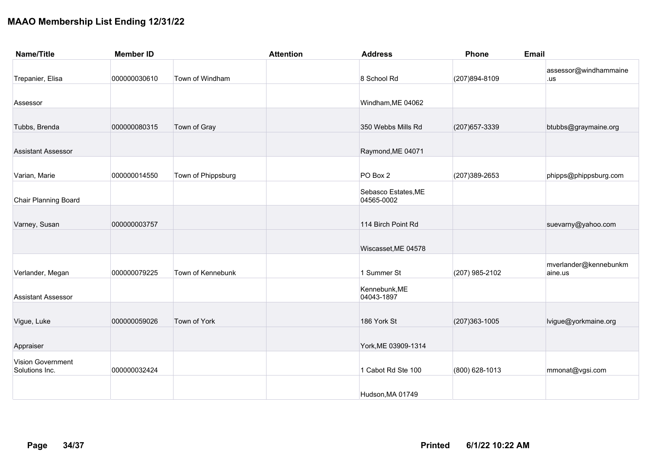| <b>Name/Title</b>                   | <b>Member ID</b> |                    | <b>Attention</b> | <b>Address</b>                    | <b>Phone</b>      | <b>Email</b>                     |
|-------------------------------------|------------------|--------------------|------------------|-----------------------------------|-------------------|----------------------------------|
| Trepanier, Elisa                    | 000000030610     | Town of Windham    |                  | 8 School Rd                       | (207)894-8109     | assessor@windhammaine<br>.us     |
| Assessor                            |                  |                    |                  | Windham, ME 04062                 |                   |                                  |
| Tubbs, Brenda                       | 000000080315     | Town of Gray       |                  | 350 Webbs Mills Rd                | (207) 657-3339    | btubbs@graymaine.org             |
| <b>Assistant Assessor</b>           |                  |                    |                  | Raymond, ME 04071                 |                   |                                  |
| Varian, Marie                       | 000000014550     | Town of Phippsburg |                  | PO Box 2                          | (207) 389-2653    | phipps@phippsburg.com            |
| <b>Chair Planning Board</b>         |                  |                    |                  | Sebasco Estates, ME<br>04565-0002 |                   |                                  |
| Varney, Susan                       | 000000003757     |                    |                  | 114 Birch Point Rd                |                   | suevarny@yahoo.com               |
|                                     |                  |                    |                  | Wiscasset, ME 04578               |                   |                                  |
| Verlander, Megan                    | 000000079225     | Town of Kennebunk  |                  | 1 Summer St                       | (207) 985-2102    | mverlander@kennebunkm<br>aine.us |
| <b>Assistant Assessor</b>           |                  |                    |                  | Kennebunk, ME<br>04043-1897       |                   |                                  |
| Vigue, Luke                         | 000000059026     | Town of York       |                  | 186 York St                       | $(207)363 - 1005$ | lvigue@yorkmaine.org             |
| Appraiser                           |                  |                    |                  | York, ME 03909-1314               |                   |                                  |
| Vision Government<br>Solutions Inc. | 000000032424     |                    |                  | 1 Cabot Rd Ste 100                | (800) 628-1013    | mmonat@vgsi.com                  |
|                                     |                  |                    |                  | Hudson, MA 01749                  |                   |                                  |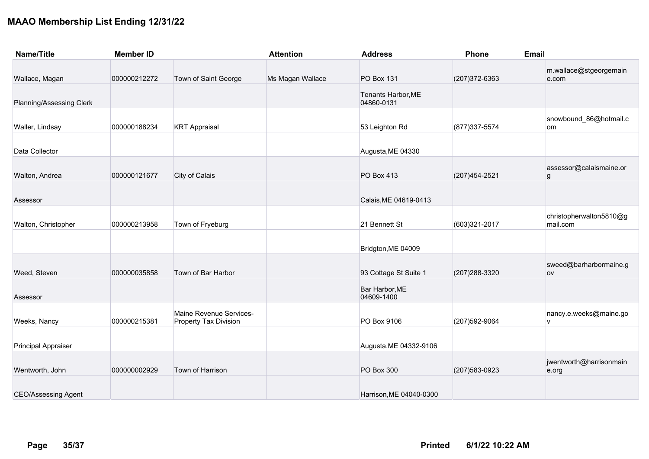| <b>Name/Title</b>          | <b>Member ID</b> |                                                  | <b>Attention</b> | <b>Address</b>                   | Phone          | <b>Email</b>                                |
|----------------------------|------------------|--------------------------------------------------|------------------|----------------------------------|----------------|---------------------------------------------|
| Wallace, Magan             | 000000212272     | Town of Saint George                             | Ms Magan Wallace | <b>PO Box 131</b>                | (207) 372-6363 | m.wallace@stgeorgemain<br>e.com             |
| Planning/Assessing Clerk   |                  |                                                  |                  | Tenants Harbor, ME<br>04860-0131 |                |                                             |
| Waller, Lindsay            | 000000188234     | <b>KRT Appraisal</b>                             |                  | 53 Leighton Rd                   | (877) 337-5574 | snowbound_86@hotmail.c<br>om                |
| Data Collector             |                  |                                                  |                  | Augusta, ME 04330                |                |                                             |
| Walton, Andrea             | 000000121677     | City of Calais                                   |                  | PO Box 413                       | (207) 454-2521 | assessor@calaismaine.or<br>$\boldsymbol{g}$ |
| Assessor                   |                  |                                                  |                  | Calais, ME 04619-0413            |                |                                             |
| Walton, Christopher        | 000000213958     | Town of Fryeburg                                 |                  | 21 Bennett St                    | (603)321-2017  | christopherwalton5810@g<br>mail.com         |
|                            |                  |                                                  |                  | Bridgton, ME 04009               |                |                                             |
| Weed, Steven               | 000000035858     | Town of Bar Harbor                               |                  | 93 Cottage St Suite 1            | (207) 288-3320 | sweed@barharbormaine.g<br><b>OV</b>         |
| Assessor                   |                  |                                                  |                  | Bar Harbor, ME<br>04609-1400     |                |                                             |
| Weeks, Nancy               | 000000215381     | Maine Revenue Services-<br>Property Tax Division |                  | PO Box 9106                      | (207) 592-9064 | nancy.e.weeks@maine.go<br>$\mathsf{v}$      |
| <b>Principal Appraiser</b> |                  |                                                  |                  | Augusta, ME 04332-9106           |                |                                             |
| Wentworth, John            | 000000002929     | Town of Harrison                                 |                  | PO Box 300                       | (207) 583-0923 | jwentworth@harrisonmain<br>e.org            |
| <b>CEO/Assessing Agent</b> |                  |                                                  |                  | Harrison.ME 04040-0300           |                |                                             |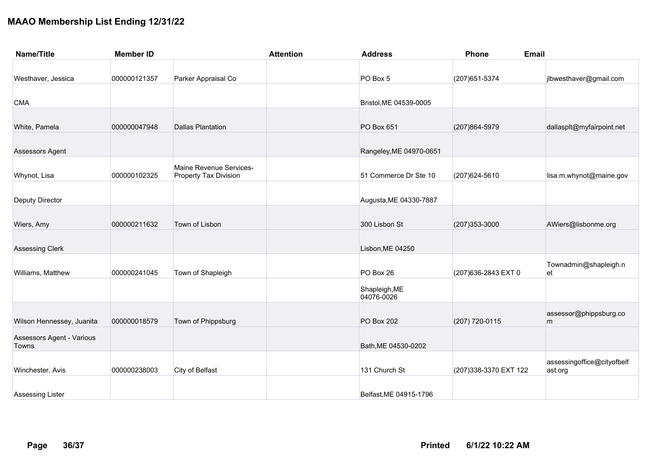| <b>Name/Title</b>         | <b>Member ID</b> |                                                         | <b>Attention</b> | <b>Address</b>              | Phone                  | <b>Email</b>                          |
|---------------------------|------------------|---------------------------------------------------------|------------------|-----------------------------|------------------------|---------------------------------------|
|                           |                  |                                                         |                  |                             |                        |                                       |
| Westhaver, Jessica        | 000000121357     | Parker Appraisal Co                                     |                  | PO Box 5                    | (207) 651-5374         | jlbwesthaver@gmail.com                |
|                           |                  |                                                         |                  |                             |                        |                                       |
| <b>CMA</b>                |                  |                                                         |                  | Bristol, ME 04539-0005      |                        |                                       |
|                           |                  |                                                         |                  |                             |                        |                                       |
| White, Pamela             | 000000047948     | <b>Dallas Plantation</b>                                |                  | PO Box 651                  | (207) 864-5979         | dallasplt@myfairpoint.net             |
| Assessors Agent           |                  |                                                         |                  | Rangeley, ME 04970-0651     |                        |                                       |
| Whynot, Lisa              | 000000102325     | Maine Revenue Services-<br><b>Property Tax Division</b> |                  | 51 Commerce Dr Ste 10       | (207) 624-5610         | lisa.m.whynot@maine.gov               |
|                           |                  |                                                         |                  |                             |                        |                                       |
| Deputy Director           |                  |                                                         |                  | Augusta, ME 04330-7887      |                        |                                       |
|                           |                  |                                                         |                  |                             |                        |                                       |
| Wiers, Amy                | 000000211632     | Town of Lisbon                                          |                  | 300 Lisbon St               | (207) 353-3000         | AWiers@lisbonme.org                   |
|                           |                  |                                                         |                  |                             |                        |                                       |
| <b>Assessing Clerk</b>    |                  |                                                         |                  | Lisbon, ME 04250            |                        |                                       |
| Williams, Matthew         | 000000241045     | Town of Shapleigh                                       |                  | PO Box 26                   | (207) 636-2843 EXT 0   | Townadmin@shapleigh.n<br>et           |
|                           |                  |                                                         |                  |                             |                        |                                       |
|                           |                  |                                                         |                  | Shapleigh, ME<br>04076-0026 |                        |                                       |
|                           |                  |                                                         |                  |                             |                        | assessor@phippsburg.co                |
| Wilson Hennessey, Juanita | 000000018579     | Town of Phippsburg                                      |                  | <b>PO Box 202</b>           | (207) 720-0115         | m                                     |
| Assessors Agent - Various |                  |                                                         |                  |                             |                        |                                       |
| Towns                     |                  |                                                         |                  | Bath, ME 04530-0202         |                        |                                       |
| Winchester, Avis          | 000000238003     | City of Belfast                                         |                  | 131 Church St               | (207) 338-3370 EXT 122 | assessingoffice@cityofbelf<br>ast.org |
|                           |                  |                                                         |                  |                             |                        |                                       |
| <b>Assessing Lister</b>   |                  |                                                         |                  | Belfast, ME 04915-1796      |                        |                                       |